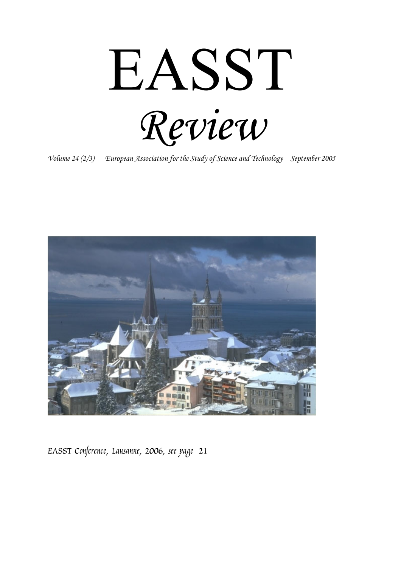EASST *Review* 

*Volume 24 (2/3) European Association for the Study of Science and Technology September 2005* 



*EASST Conference, Lausanne, 2006, see page 21*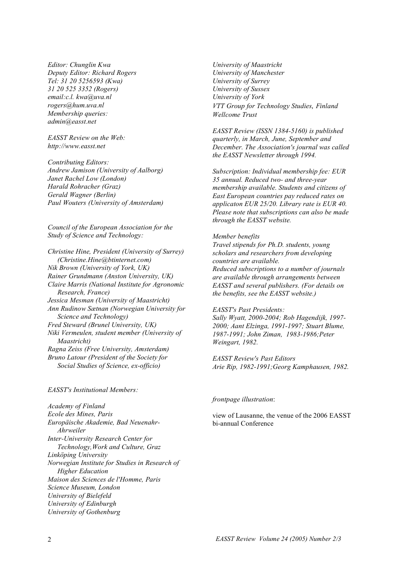*Editor: Chunglin Kwa Deputy Editor: Richard Rogers Tel: 31 20 5256593 (Kwa) 31 20 525 3352 (Rogers) email:c.l. kwa@uva.nl rogers@hum.uva.nl Membership queries: admin@easst.net* 

*EASST Review on the Web: http://www.easst.net* 

*Contributing Editors: Andrew Jamison (University of Aalborg) Janet Rachel Low (London) Harald Rohracher (Graz) Gerald Wagner (Berlin) Paul Wouters (University of Amsterdam)* 

*Council of the European Association for the Study of Science and Technology:* 

*Christine Hine, President (University of Surrey) (Christine.Hine@btinternet.com) Nik Brown (University of York, UK) Rainer Grundmann (Anston University, UK) Claire Marris (National Institute for Agronomic Research, France) Jessica Mesman (University of Maastricht) Ann Rudinow Sætnan (Norwegian University for Science and Technology) Fred Steward (Brunel University, UK) Niki Vermeulen, student member (University of Maastricht) Ragna Zeiss (Free University, Amsterdam) Bruno Latour (President of the Society for Social Studies of Science, ex-officio)* 

*EASST's Institutional Members:* 

*Academy of Finland Ecole des Mines, Paris Europäische Akademie, Bad Neuenahr- Ahrweiler Inter-University Research Center for Technology,Work and Culture, Graz Linköping University Norwegian Institute for Studies in Research of Higher Education Maison des Sciences de l'Homme, Paris Science Museum, London University of Bielefeld University of Edinburgh University of Gothenburg* 

*University of Maastricht University of Manchester University of Surrey University of Sussex University of York VTT Group for Technology Studies, Finland Wellcome Trust* 

*EASST Review (ISSN 1384-5160) is published quarterly, in March, June, September and December. The Association's journal was called the EASST Newsletter through 1994.* 

*Subscription: Individual membership fee: EUR 35 annual. Reduced two- and three-year membership available. Students and citizens of East European countries pay reduced rates on applicaton EUR 25/20. Library rate is EUR 40. Please note that subscriptions can also be made through the EASST website.* 

#### *Member benefits*

*Travel stipends for Ph.D. students, young scholars and researchers from developing countries are available. Reduced subscriptions to a number of journals are available through arrangements between EASST and several publishers. (For details on the benefits, see the EASST website.)* 

#### *EASST's Past Presidents:*

*Sally Wyatt, 2000-2004; Rob Hagendijk, 1997- 2000; Aant Elzinga, 1991-1997; Stuart Blume, 1987-1991; John Ziman, 1983-1986;Peter Weingart, 1982.* 

*EASST Review's Past Editors Arie Rip, 1982-1991;Georg Kamphausen, 1982.* 

#### *frontpage illustration*:

view of Lausanne, the venue of the 2006 EASST bi-annual Conference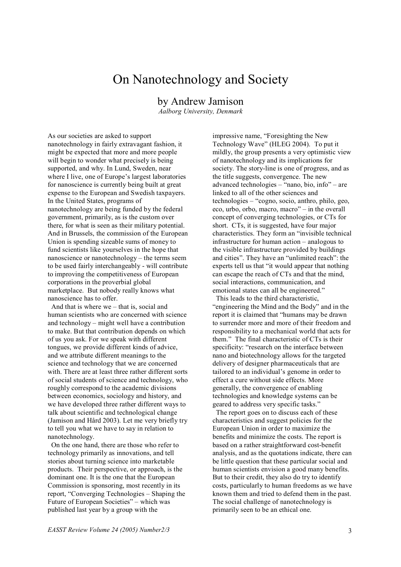## On Nanotechnology and Society

by Andrew Jamison

*Aalborg University, Denmark* 

As our societies are asked to support nanotechnology in fairly extravagant fashion, it might be expected that more and more people will begin to wonder what precisely is being supported, and why. In Lund, Sweden, near where I live, one of Europe's largest laboratories for nanoscience is currently being built at great expense to the European and Swedish taxpayers. In the United States, programs of nanotechnology are being funded by the federal government, primarily, as is the custom over there, for what is seen as their military potential. And in Brussels, the commission of the European Union is spending sizeable sums of money to fund scientists like yourselves in the hope that nanoscience or nanotechnology – the terms seem to be used fairly interchangeably - will contribute to improving the competitiveness of European corporations in the proverbial global marketplace. But nobody really knows what nanoscience has to offer.

 And that is where we – that is, social and human scientists who are concerned with science and technology – might well have a contribution to make. But that contribution depends on which of us you ask. For we speak with different tongues, we provide different kinds of advice, and we attribute different meanings to the science and technology that we are concerned with. There are at least three rather different sorts of social students of science and technology, who roughly correspond to the academic divisions between economics, sociology and history, and we have developed three rather different ways to talk about scientific and technological change (Jamison and Hård 2003). Let me very briefly try to tell you what we have to say in relation to nanotechnology.

 On the one hand, there are those who refer to technology primarily as innovations, and tell stories about turning science into marketable products. Their perspective, or approach, is the dominant one. It is the one that the European Commission is sponsoring, most recently in its report, "Converging Technologies – Shaping the Future of European Societies" – which was published last year by a group with the

impressive name, "Foresighting the New Technology Wave" (HLEG 2004). To put it mildly, the group presents a very optimistic view of nanotechnology and its implications for society. The story-line is one of progress, and as the title suggests, convergence. The new advanced technologies – "nano, bio, info" – are linked to all of the other sciences and technologies – "cogno, socio, anthro, philo, geo, eco, urbo, orbo, macro, macro" – in the overall concept of converging technologies, or CTs for short. CTs, it is suggested, have four major characteristics. They form an "invisible technical infrastructure for human action – analogous to the visible infrastructure provided by buildings and cities". They have an "unlimited reach": the experts tell us that "it would appear that nothing can escape the reach of CTs and that the mind, social interactions, communication, and emotional states can all be engineered."

 This leads to the third characteristic, "engineering the Mind and the Body" and in the report it is claimed that "humans may be drawn to surrender more and more of their freedom and responsibility to a mechanical world that acts for them." The final characteristic of CTs is their specificity: "research on the interface between nano and biotechnology allows for the targeted delivery of designer pharmaceuticals that are tailored to an individual's genome in order to effect a cure without side effects. More generally, the convergence of enabling technologies and knowledge systems can be geared to address very specific tasks."

 The report goes on to discuss each of these characteristics and suggest policies for the European Union in order to maximize the benefits and minimize the costs. The report is based on a rather straightforward cost-benefit analysis, and as the quotations indicate, there can be little question that these particular social and human scientists envision a good many benefits. But to their credit, they also do try to identify costs, particularly to human freedoms as we have known them and tried to defend them in the past. The social challenge of nanotechnology is primarily seen to be an ethical one.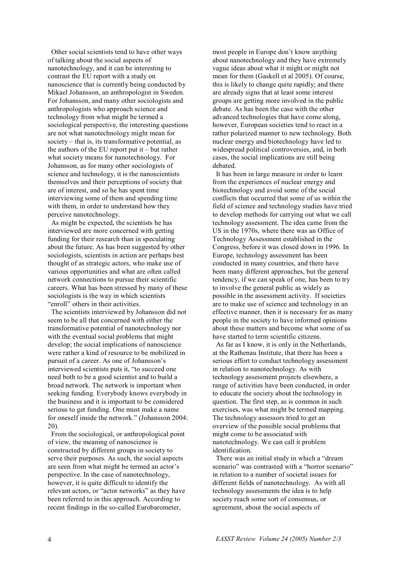Other social scientists tend to have other ways of talking about the social aspects of nanotechnology, and it can be interesting to contrast the EU report with a study on nanoscience that is currently being conducted by Mikael Johansson, an anthropologist in Sweden. For Johansson, and many other sociologists and anthropologists who approach science and technology from what might be termed a sociological perspective, the interesting questions are not what nanotechnology might mean for society – that is, its transformative potential, as the authors of the EU report put it – but rather what society means for nanotechnology. For Johansson, as for many other sociologists of science and technology, it is the nanoscientists themselves and their perceptions of society that are of interest, and so he has spent time interviewing some of them and spending time with them, in order to understand how they perceive nanotechnology.

 As might be expected, the scientists he has interviewed are more concerned with getting funding for their research than in speculating about the future. As has been suggested by other sociologists, scientists in action are perhaps best thought of as strategic actors, who make use of various opportunities and what are often called network connections to pursue their scientific careers. What has been stressed by many of these sociologists is the way in which scientists "enroll" others in their activities.

 The scientists interviewed by Johansson did not seem to be all that concerned with either the transformative potential of nanotechnology nor with the eventual social problems that might develop; the social implications of nanoscience were rather a kind of resource to be mobilized in pursuit of a career. As one of Johansson's interviewed scientists puts it, "to succeed one need both to be a good scientist and to build a broad network. The network is important when seeking funding. Everybody knows everybody in the business and it is important to be considered serious to get funding. One must make a name for oneself inside the network." (Johansson 2004: 20).

 From the sociological, or anthropological point of view, the meaning of nanoscience is constructed by different groups in society to serve their purposes. As such, the social aspects are seen from what might be termed an actor's perspective. In the case of nanotechnology, however, it is quite difficult to identify the relevant actors, or "actor networks" as they have been referred to in this approach. According to recent findings in the so-called Eurobarometer,

most people in Europe don't know anything about nanotechnology and they have extremely vague ideas about what it might or might not mean for them (Gaskell et al 2005). Of course, this is likely to change quite rapidly; and there are already signs that at least some interest groups are getting more involved in the public debate. As has been the case with the other advanced technologies that have come along, however, European societies tend to react in a rather polarized manner to new technology. Both nuclear energy and biotechnology have led to widespread political controversies, and, in both cases, the social implications are still being debated.

 It has been in large measure in order to learn from the experiences of nuclear energy and biotechnology and avoid some of the social conflicts that occurred that some of us within the field of science and technology studies have tried to develop methods for carrying out what we call technology assessment. The idea came from the US in the 1970s, where there was an Office of Technology Assessment established in the Congress, before it was closed down in 1996. In Europe, technology assessment has been conducted in many countries, and there have been many different approaches, but the general tendency, if we can speak of one, has been to try to involve the general public as widely as possible in the assessment activity. If societies are to make use of science and technology in an effective manner, then it is necessary for as many people in the society to have informed opinions about these matters and become what some of us have started to term scientific citizens.

 As far as I know, it is only in the Netherlands, at the Rathenau Institute, that there has been a serious effort to conduct technology assessment in relation to nanotechnology. As with technology assessment projects elsewhere, a range of activities have been conducted, in order to educate the society about the technology in question. The first step, as is common in such exercises, was what might be termed mapping. The technology assessors tried to get an overview of the possible social problems that might come to be associated with nanotechnology. We can call it problem identification.

 There was an initial study in which a "dream scenario" was contrasted with a "horror scenario" in relation to a number of societal issues for different fields of nanotechnology. As with all technology assessments the idea is to help society reach some sort of consensus, or agreement, about the social aspects of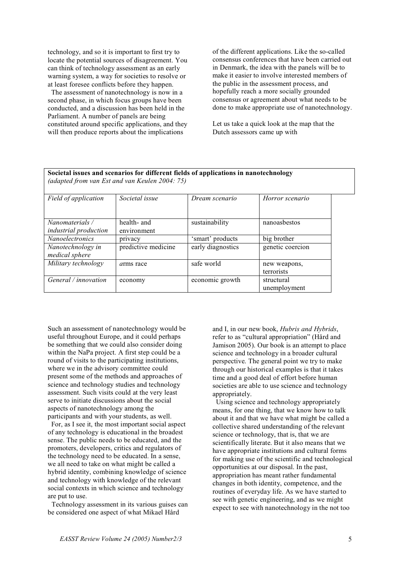technology, and so it is important to first try to locate the potential sources of disagreement. You can think of technology assessment as an early warning system, a way for societies to resolve or at least foresee conflicts before they happen.

 The assessment of nanotechnology is now in a second phase, in which focus groups have been conducted, and a discussion has been held in the Parliament. A number of panels are being constituted around specific applications, and they will then produce reports about the implications

of the different applications. Like the so-called consensus conferences that have been carried out in Denmark, the idea with the panels will be to make it easier to involve interested members of the public in the assessment process, and hopefully reach a more socially grounded consensus or agreement about what needs to be done to make appropriate use of nanotechnology.

Let us take a quick look at the map that the Dutch assessors came up with

| Societal issues and scenarios for different fields of applications in nanotechnology<br>(adapted from van Est and van Keulen 2004: 75) |                            |                   |                            |
|----------------------------------------------------------------------------------------------------------------------------------------|----------------------------|-------------------|----------------------------|
| Field of application                                                                                                                   | Societal issue             | Dream scenario    | Horror scenario            |
| Nanomaterials /<br><i>industrial</i> production                                                                                        | health- and<br>environment | sustainability    | nanoasbestos               |
| <b>Nanoelectronics</b>                                                                                                                 | privacy                    | 'smart' products  | big brother                |
| Nanotechnology in<br>medical sphere                                                                                                    | predictive medicine        | early diagnostics | genetic coercion           |
| Military technology                                                                                                                    | <i>arms</i> race           | safe world        | new weapons,<br>terrorists |
| General / <i>innovation</i>                                                                                                            | economy                    | economic growth   | structural<br>unemployment |

Such an assessment of nanotechnology would be useful throughout Europe, and it could perhaps be something that we could also consider doing within the NaPa project. A first step could be a round of visits to the participating institutions, where we in the advisory committee could present some of the methods and approaches of science and technology studies and technology assessment. Such visits could at the very least serve to initiate discussions about the social aspects of nanotechnology among the participants and with your students, as well.

 For, as I see it, the most important social aspect of any technology is educational in the broadest sense. The public needs to be educated, and the promoters, developers, critics and regulators of the technology need to be educated. In a sense, we all need to take on what might be called a hybrid identity, combining knowledge of science and technology with knowledge of the relevant social contexts in which science and technology are put to use.

 Technology assessment in its various guises can be considered one aspect of what Mikael Hård

and I, in our new book, *Hubris and Hybrids*, refer to as "cultural appropriation" (Hård and Jamison 2005). Our book is an attempt to place science and technology in a broader cultural perspective. The general point we try to make through our historical examples is that it takes time and a good deal of effort before human societies are able to use science and technology appropriately.

 Using science and technology appropriately means, for one thing, that we know how to talk about it and that we have what might be called a collective shared understanding of the relevant science or technology, that is, that we are scientifically literate. But it also means that we have appropriate institutions and cultural forms for making use of the scientific and technological opportunities at our disposal. In the past, appropriation has meant rather fundamental changes in both identity, competence, and the routines of everyday life. As we have started to see with genetic engineering, and as we might expect to see with nanotechnology in the not too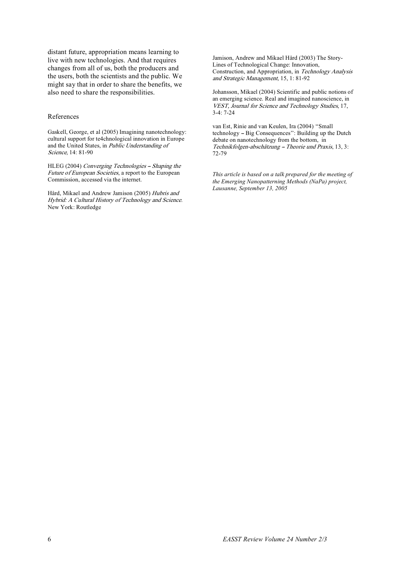distant future, appropriation means learning to live with new technologies. And that requires changes from all of us, both the producers and the users, both the scientists and the public. We might say that in order to share the benefits, we also need to share the responsibilities.

#### References

Gaskell, George, et al (2005) Imagining nanotechnology: cultural support for te4chnological innovation in Europe and the United States, in Public Understanding of Science, 14: 81-90

HLEG (2004) Converging Technologies - Shaping the Future of European Societies, a report to the European Commission, accessed via the internet.

Hård, Mikael and Andrew Jamison (2005) Hubris and Hybrid: A Cultural History of Technology and Science. New York: Routledge

Jamison, Andrew and Mikael Hård (2003) The Story-Lines of Technological Change: Innovation, Construction, and Appropriation, in Technology Analysis and Strategic Management, 15, 1: 81-92

Johansson, Mikael (2004) Scientific and public notions of an emerging science. Real and imagined nanoscience, in VEST, Journal for Science and Technology Studies, 17, 3-4: 7-24

van Est, Rinie and van Keulen, Ira (2004) ''Small technology -- Big Consequences": Building up the Dutch debate on nanotechnology from the bottom, in  $Technik folgen-abschätzung - Theorie und Praxis, 13, 3:$ 72-79

*This article is based on a talk prepared for the meeting of the Emerging Nanopatterning Methods (NaPa) project, Lausanne, September 13, 2005*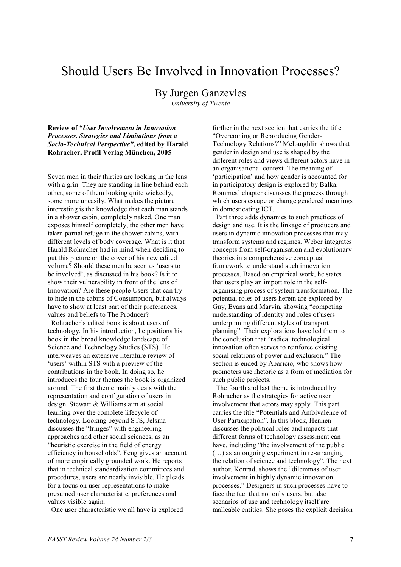### Should Users Be Involved in Innovation Processes?

#### By Jurgen Ganzevles

*University of Twente* 

**Review of** *"User Involvement in Innovation Processes. Strategies and Limitations from a Socio-Technical Perspective",* **edited by Harald Rohracher, Profil Verlag München, 2005**

Seven men in their thirties are looking in the lens with a grin. They are standing in line behind each other, some of them looking quite wickedly, some more uneasily. What makes the picture interesting is the knowledge that each man stands in a shower cabin, completely naked. One man exposes himself completely; the other men have taken partial refuge in the shower cabins, with different levels of body coverage. What is it that Harald Rohracher had in mind when deciding to put this picture on the cover of his new edited volume? Should these men be seen as 'users to be involved', as discussed in his book? Is it to show their vulnerability in front of the lens of Innovation? Are these people Users that can try to hide in the cabins of Consumption, but always have to show at least part of their preferences, values and beliefs to The Producer?

 Rohracher's edited book is about users of technology. In his introduction, he positions his book in the broad knowledge landscape of Science and Technology Studies (STS). He interweaves an extensive literature review of 'users' within STS with a preview of the contributions in the book. In doing so, he introduces the four themes the book is organized around. The first theme mainly deals with the representation and configuration of users in design. Stewart & Williams aim at social learning over the complete lifecycle of technology. Looking beyond STS, Jelsma discusses the "fringes" with engineering approaches and other social sciences, as an "heuristic exercise in the field of energy efficiency in households". Feng gives an account of more empirically grounded work. He reports that in technical standardization committees and procedures, users are nearly invisible. He pleads for a focus on user representations to make presumed user characteristic, preferences and values visible again.

One user characteristic we all have is explored

further in the next section that carries the title "Overcoming or Reproducing Gender-Technology Relations?" McLaughlin shows that gender in design and use is shaped by the different roles and views different actors have in an organisational context. The meaning of 'participation' and how gender is accounted for in participatory design is explored by Balka. Rommes' chapter discusses the process through which users escape or change gendered meanings in domesticating ICT.

 Part three adds dynamics to such practices of design and use. It is the linkage of producers and users in dynamic innovation processes that may transform systems and regimes. Weber integrates concepts from self-organisation and evolutionary theories in a comprehensive conceptual framework to understand such innovation processes. Based on empirical work, he states that users play an import role in the selforganising process of system transformation. The potential roles of users herein are explored by Guy, Evans and Marvin, showing "competing understanding of identity and roles of users underpinning different styles of transport planning". Their explorations have led them to the conclusion that "radical technological innovation often serves to reinforce existing social relations of power and exclusion." The section is ended by Aparicio, who shows how promoters use rhetoric as a form of mediation for such public projects.

 The fourth and last theme is introduced by Rohracher as the strategies for active user involvement that actors may apply. This part carries the title "Potentials and Ambivalence of User Participation". In this block, Hennen discusses the political roles and impacts that different forms of technology assessment can have, including "the involvement of the public (…) as an ongoing experiment in re-arranging the relation of science and technology". The next author, Konrad, shows the "dilemmas of user involvement in highly dynamic innovation processes." Designers in such processes have to face the fact that not only users, but also scenarios of use and technology itself are malleable entities. She poses the explicit decision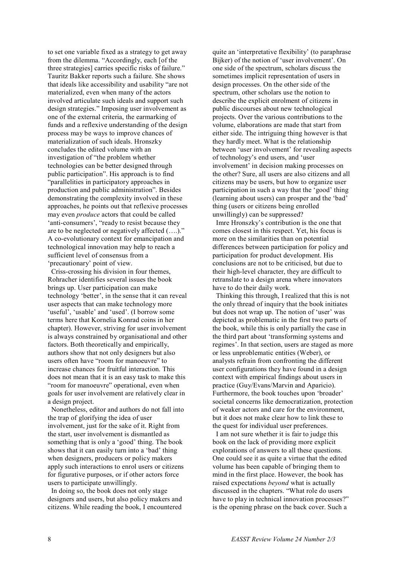to set one variable fixed as a strategy to get away from the dilemma. "Accordingly, each [of the three strategies] carries specific risks of failure." Tauritz Bakker reports such a failure. She shows that ideals like accessibility and usability "are not materialized, even when many of the actors involved articulate such ideals and support such design strategies." Imposing user involvement as one of the external criteria, the earmarking of funds and a reflexive understanding of the design process may be ways to improve chances of materialization of such ideals. Hronszky concludes the edited volume with an investigation of "the problem whether technologies can be better designed through public participation". His approach is to find "parallelities in participatory approaches in production and public administration". Besides demonstrating the complexity involved in these approaches, he points out that reflexive processes may even *produce* actors that could be called 'anti-consumers', "ready to resist because they are to be neglected or negatively affected (….)." A co-evolutionary context for emancipation and technological innovation may help to reach a sufficient level of consensus from a 'precautionary' point of view.

 Criss-crossing his division in four themes, Rohracher identifies several issues the book brings up. User participation can make technology 'better', in the sense that it can reveal user aspects that can make technology more 'useful', 'usable' and 'used'. (I borrow some terms here that Kornelia Konrad coins in her chapter). However, striving for user involvement is always constrained by organisational and other factors. Both theoretically and empirically, authors show that not only designers but also users often have "room for manoeuvre" to increase chances for fruitful interaction. This does not mean that it is an easy task to make this "room for manoeuvre" operational, even when goals for user involvement are relatively clear in a design project.

 Nonetheless, editor and authors do not fall into the trap of glorifying the idea of user involvement, just for the sake of it. Right from the start, user involvement is dismantled as something that is only a 'good' thing. The book shows that it can easily turn into a 'bad' thing when designers, producers or policy makers apply such interactions to enrol users or citizens for figurative purposes, or if other actors force users to participate unwillingly.

 In doing so, the book does not only stage designers and users, but also policy makers and citizens. While reading the book, I encountered

quite an 'interpretative flexibility' (to paraphrase Bijker) of the notion of 'user involvement'. On one side of the spectrum, scholars discuss the sometimes implicit representation of users in design processes. On the other side of the spectrum, other scholars use the notion to describe the explicit enrolment of citizens in public discourses about new technological projects. Over the various contributions to the volume, elaborations are made that start from either side. The intriguing thing however is that they hardly meet. What is the relationship between 'user involvement' for revealing aspects of technology's end users, and 'user involvement' in decision making processes on the other? Sure, all users are also citizens and all citizens may be users, but how to organize user participation in such a way that the 'good' thing (learning about users) can prosper and the 'bad' thing (users or citizens being enrolled unwillingly) can be suppressed?

 Imre Hronszky's contribution is the one that comes closest in this respect. Yet, his focus is more on the similarities than on potential differences between participation for policy and participation for product development. His conclusions are not to be criticised, but due to their high-level character, they are difficult to retranslate to a design arena where innovators have to do their daily work.

 Thinking this through, I realized that this is not the only thread of inquiry that the book initiates but does not wrap up. The notion of 'user' was depicted as problematic in the first two parts of the book, while this is only partially the case in the third part about 'transforming systems and regimes'. In that section, users are staged as more or less unproblematic entities (Weber), or analysts refrain from confronting the different user configurations they have found in a design context with empirical findings about users in practice (Guy/Evans/Marvin and Aparicio). Furthermore, the book touches upon 'broader' societal concerns like democratization, protection of weaker actors and care for the environment, but it does not make clear how to link these to the quest for individual user preferences.

 I am not sure whether it is fair to judge this book on the lack of providing more explicit explorations of answers to all these questions. One could see it as quite a virtue that the edited volume has been capable of bringing them to mind in the first place. However, the book has raised expectations *beyond* what is actually discussed in the chapters. "What role do users have to play in technical innovation processes?" is the opening phrase on the back cover. Such a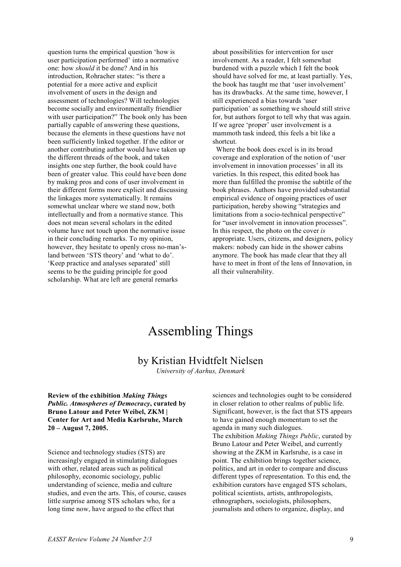question turns the empirical question 'how is user participation performed' into a normative one: how *should* it be done? And in his introduction, Rohracher states: "is there a potential for a more active and explicit involvement of users in the design and assessment of technologies? Will technologies become socially and environmentally friendlier with user participation?" The book only has been partially capable of answering these questions, because the elements in these questions have not been sufficiently linked together. If the editor or another contributing author would have taken up the different threads of the book, and taken insights one step further, the book could have been of greater value. This could have been done by making pros and cons of user involvement in their different forms more explicit and discussing the linkages more systematically. It remains somewhat unclear where we stand now, both intellectually and from a normative stance. This does not mean several scholars in the edited volume have not touch upon the normative issue in their concluding remarks. To my opinion, however, they hesitate to openly cross no-man'sland between 'STS theory' and 'what to do'. 'Keep practice and analyses separated' still seems to be the guiding principle for good scholarship. What are left are general remarks

about possibilities for intervention for user involvement. As a reader, I felt somewhat burdened with a puzzle which I felt the book should have solved for me, at least partially. Yes, the book has taught me that 'user involvement' has its drawbacks. At the same time, however, I still experienced a bias towards 'user participation' as something we should still strive for, but authors forgot to tell why that was again. If we agree 'proper' user involvement is a mammoth task indeed, this feels a bit like a shortcut.

 Where the book does excel is in its broad coverage and exploration of the notion of 'user involvement in innovation processes' in all its varieties. In this respect, this edited book has more than fulfilled the promise the subtitle of the book phrases. Authors have provided substantial empirical evidence of ongoing practices of user participation, hereby showing "strategies and limitations from a socio-technical perspective" for "user involvement in innovation processes". In this respect, the photo on the cover *is* appropriate. Users, citizens, and designers, policy makers: nobody can hide in the shower cabins anymore. The book has made clear that they all have to meet in front of the lens of Innovation, in all their vulnerability.

# Assembling Things

### by Kristian Hvidtfelt Nielsen

*University of Aarhus, Denmark*

**Review of the exhibition** *Making Things Public. Atmospheres of Democracy***, curated by Bruno Latour and Peter Weibel, ZKM | Center for Art and Media Karlsruhe, March 20 – August 7, 2005.** 

Science and technology studies (STS) are increasingly engaged in stimulating dialogues with other, related areas such as political philosophy, economic sociology, public understanding of science, media and culture studies, and even the arts. This, of course, causes little surprise among STS scholars who, for a long time now, have argued to the effect that

sciences and technologies ought to be considered in closer relation to other realms of public life. Significant, however, is the fact that STS appears to have gained enough momentum to set the agenda in many such dialogues. The exhibition *Making Things Public*, curated by Bruno Latour and Peter Weibel, and currently showing at the ZKM in Karlsruhe, is a case in point. The exhibition brings together science, politics, and art in order to compare and discuss different types of representation. To this end, the exhibition curators have engaged STS scholars, political scientists, artists, anthropologists, ethnographers, sociologists, philosophers, journalists and others to organize, display, and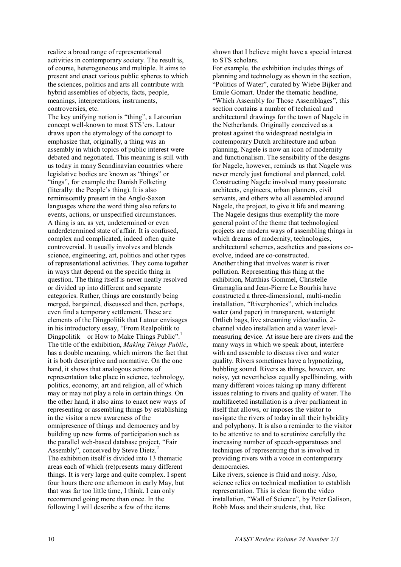realize a broad range of representational activities in contemporary society. The result is, of course, heterogeneous and multiple. It aims to present and enact various public spheres to which the sciences, politics and arts all contribute with hybrid assemblies of objects, facts, people, meanings, interpretations, instruments, controversies, etc.

The key unifying notion is "thing", a Latourian concept well-known to most STS'ers. Latour draws upon the etymology of the concept to emphasize that, originally, a thing was an assembly in which topics of public interest were debated and negotiated. This meaning is still with us today in many Scandinavian countries where legislative bodies are known as "things" or "tings", for example the Danish Folketing (literally: the People's thing). It is also reminiscently present in the Anglo-Saxon languages where the word thing also refers to events, actions, or unspecified circumstances. A thing is an, as yet, undetermined or even underdetermined state of affair. It is confused, complex and complicated, indeed often quite controversial. It usually involves and blends science, engineering, art, politics and other types of representational activities. They come together in ways that depend on the specific thing in question. The thing itself is never neatly resolved or divided up into different and separate categories. Rather, things are constantly being merged, bargained, discussed and then, perhaps, even find a temporary settlement. These are elements of the Dingpolitik that Latour envisages in his introductory essay, "From Realpolitik to Dingpolitik – or How to Make Things Public".<sup>1</sup> The title of the exhibition, *Making Things Public*, has a double meaning, which mirrors the fact that it is both descriptive and normative. On the one hand, it shows that analogous actions of representation take place in science, technology, politics, economy, art and religion, all of which may or may not play a role in certain things. On the other hand, it also aims to enact new ways of representing or assembling things by establishing in the visitor a new awareness of the omnipresence of things and democracy and by building up new forms of participation such as the parallel web-based database project, "Fair Assembly", conceived by Steve Dietz.<sup>2</sup> The exhibition itself is divided into 13 thematic areas each of which (re)presents many different things. It is very large and quite complex. I spent four hours there one afternoon in early May, but that was far too little time, I think. I can only recommend going more than once. In the following I will describe a few of the items

shown that I believe might have a special interest to STS scholars.

For example, the exhibition includes things of planning and technology as shown in the section, "Politics of Water", curated by Wiebe Bijker and Emile Gomart. Under the thematic headline, "Which Assembly for Those Assemblages", this section contains a number of technical and architectural drawings for the town of Nagele in the Netherlands. Originally conceived as a protest against the widespread nostalgia in contemporary Dutch architecture and urban planning, Nagele is now an icon of modernity and functionalism. The sensibility of the designs for Nagele, however, reminds us that Nagele was never merely just functional and planned, cold. Constructing Nagele involved many passionate architects, engineers, urban planners, civil servants, and others who all assembled around Nagele, the project, to give it life and meaning. The Nagele designs thus exemplify the more general point of the theme that technological projects are modern ways of assembling things in which dreams of modernity, technologies, architectural schemes, aesthetics and passions coevolve, indeed are co-constructed. Another thing that involves water is river pollution. Representing this thing at the exhibition, Matthias Gommel, Christelle Gramaglia and Jean-Pierre Le Bourhis have constructed a three-dimensional, multi-media installation, "Riverphonics", which includes water (and paper) in transparent, watertight Ortlieb bags, live streaming video/audio, 2 channel video installation and a water levelmeasuring device. At issue here are rivers and the many ways in which we speak about, interfere with and assemble to discuss river and water quality. Rivers sometimes have a hypnotizing, bubbling sound. Rivers as things, however, are noisy, yet nevertheless equally spellbinding, with many different voices taking up many different issues relating to rivers and quality of water. The multifaceted installation is a river parliament in itself that allows, or imposes the visitor to navigate the rivers of today in all their hybridity and polyphony. It is also a reminder to the visitor to be attentive to and to scrutinize carefully the increasing number of speech-apparatuses and techniques of representing that is involved in providing rivers with a voice in contemporary democracies.

Like rivers, science is fluid and noisy. Also, science relies on technical mediation to establish representation. This is clear from the video installation, "Wall of Science", by Peter Galison, Robb Moss and their students, that, like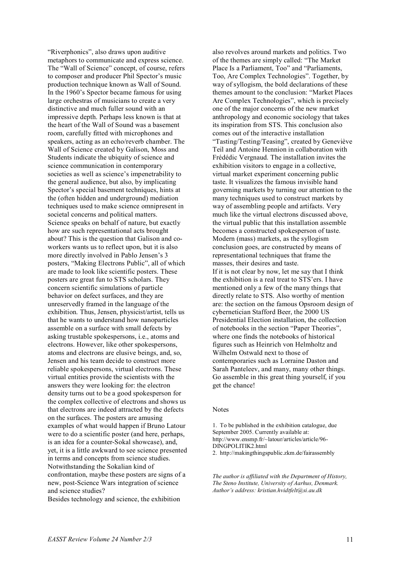"Riverphonics", also draws upon auditive metaphors to communicate and express science. The "Wall of Science" concept, of course, refers to composer and producer Phil Spector's music production technique known as Wall of Sound. In the 1960's Spector became famous for using large orchestras of musicians to create a very distinctive and much fuller sound with an impressive depth. Perhaps less known is that at the heart of the Wall of Sound was a basement room, carefully fitted with microphones and speakers, acting as an echo/reverb chamber. The Wall of Science created by Galison, Moss and Students indicate the ubiquity of science and science communication in contemporary societies as well as science's impenetrability to the general audience, but also, by implicating Spector's special basement techniques, hints at the (often hidden and underground) mediation techniques used to make science omnipresent in societal concerns and political matters. Science speaks on behalf of nature, but exactly how are such representational acts brought about? This is the question that Galison and coworkers wants us to reflect upon, but it is also more directly involved in Pablo Jensen's 3 posters, "Making Electrons Public", all of which are made to look like scientific posters. These posters are great fun to STS scholars. They concern scientific simulations of particle behavior on defect surfaces, and they are unreservedly framed in the language of the exhibition. Thus, Jensen, physicist/artist, tells us that he wants to understand how nanoparticles assemble on a surface with small defects by asking trustable spokespersons, i.e., atoms and electrons. However, like other spokespersons, atoms and electrons are elusive beings, and, so, Jensen and his team decide to construct more reliable spokespersons, virtual electrons. These virtual entities provide the scientists with the answers they were looking for: the electron density turns out to be a good spokesperson for the complex collective of electrons and shows us that electrons are indeed attracted by the defects on the surfaces. The posters are amusing examples of what would happen if Bruno Latour were to do a scientific poster (and here, perhaps, is an idea for a counter-Sokal showcase), and, yet, it is a little awkward to see science presented in terms and concepts from science studies. Notwithstanding the Sokalian kind of confrontation, maybe these posters are signs of a new, post-Science Wars integration of science and science studies?

Besides technology and science, the exhibition

also revolves around markets and politics. Two of the themes are simply called: "The Market Place Is a Parliament, Too" and "Parliaments, Too, Are Complex Technologies". Together, by way of syllogism, the bold declarations of these themes amount to the conclusion: "Market Places Are Complex Technologies", which is precisely one of the major concerns of the new market anthropology and economic sociology that takes its inspiration from STS. This conclusion also comes out of the interactive installation "Tasting/Testing/Teasing", created by Geneviève Teil and Antoine Hennion in collaboration with Frédédic Vergnaud. The installation invites the exhibition visitors to engage in a collective, virtual market experiment concerning public taste. It visualizes the famous invisible hand governing markets by turning our attention to the many techniques used to construct markets by way of assembling people and artifacts. Very much like the virtual electrons discussed above, the virtual public that this installation assemble becomes a constructed spokesperson of taste. Modern (mass) markets, as the syllogism conclusion goes, are constructed by means of representational techniques that frame the masses, their desires and taste. If it is not clear by now, let me say that I think the exhibition is a real treat to STS'ers. I have mentioned only a few of the many things that directly relate to STS. Also worthy of mention are: the section on the famous Opsroom design of cybernetician Stafford Beer, the 2000 US Presidential Election installation, the collection of notebooks in the section "Paper Theories", where one finds the notebooks of historical figures such as Heinrich von Helmholtz and Wilhelm Ostwald next to those of contemporaries such as Lorraine Daston and Sarah Panteleev, and many, many other things. Go assemble in this great thing yourself, if you get the chance!

#### **Notes**

1. To be published in the exhibition catalogue, due September 2005. Currently available at: http://www.ensmp.fr/~latour/articles/article/96- DINGPOLITIK2.html 2. http://makingthingspublic.zkm.de/fairassembly

*The author is affiliated with the Department of History, The Steno Institute, University of Aarhus, Denmark. Author's address: kristian.hvidtfelt@si.au.dk*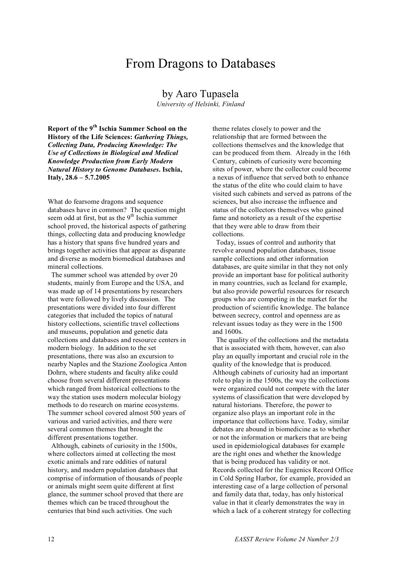### From Dragons to Databases

#### by Aaro Tupasela

*University of Helsinki, Finland* 

**Report of the 9th Ischia Summer School on the History of the Life Sciences:** *Gathering Things, Collecting Data, Producing Knowledge: The Use of Collections in Biological and Medical Knowledge Production from Early Modern Natural History to Genome Databases***. Ischia, Italy, 28.6 – 5.7.2005** 

What do fearsome dragons and sequence databases have in common? The question might seem odd at first, but as the  $9<sup>th</sup>$  Ischia summer school proved, the historical aspects of gathering things, collecting data and producing knowledge has a history that spans five hundred years and brings together activities that appear as disparate and diverse as modern biomedical databases and mineral collections.

 The summer school was attended by over 20 students, mainly from Europe and the USA, and was made up of 14 presentations by researchers that were followed by lively discussion. The presentations were divided into four different categories that included the topics of natural history collections, scientific travel collections and museums, population and genetic data collections and databases and resource centers in modern biology. In addition to the set presentations, there was also an excursion to nearby Naples and the Stazione Zoologica Anton Dohrn, where students and faculty alike could choose from several different presentations which ranged from historical collections to the way the station uses modern molecular biology methods to do research on marine ecosystems. The summer school covered almost 500 years of various and varied activities, and there were several common themes that brought the different presentations together.

 Although, cabinets of curiosity in the 1500s, where collectors aimed at collecting the most exotic animals and rare oddities of natural history, and modern population databases that comprise of information of thousands of people or animals might seem quite different at first glance, the summer school proved that there are themes which can be traced throughout the centuries that bind such activities. One such

theme relates closely to power and the relationship that are formed between the collections themselves and the knowledge that can be produced from them. Already in the 16th Century, cabinets of curiosity were becoming sites of power, where the collector could become a nexus of influence that served both to enhance the status of the elite who could claim to have visited such cabinets and served as patrons of the sciences, but also increase the influence and status of the collectors themselves who gained fame and notoriety as a result of the expertise that they were able to draw from their collections.

 Today, issues of control and authority that revolve around population databases, tissue sample collections and other information databases, are quite similar in that they not only provide an important base for political authority in many countries, such as Iceland for example, but also provide powerful resources for research groups who are competing in the market for the production of scientific knowledge. The balance between secrecy, control and openness are as relevant issues today as they were in the 1500 and 1600s.

 The quality of the collections and the metadata that is associated with them, however, can also play an equally important and crucial role in the quality of the knowledge that is produced. Although cabinets of curiosity had an important role to play in the 1500s, the way the collections were organized could not compete with the later systems of classification that were developed by natural historians. Therefore, the power to organize also plays an important role in the importance that collections have. Today, similar debates are abound in biomedicine as to whether or not the information or markers that are being used in epidemiological databases for example are the right ones and whether the knowledge that is being produced has validity or not. Records collected for the Eugenics Record Office in Cold Spring Harbor, for example, provided an interesting case of a large collection of personal and family data that, today, has only historical value in that it clearly demonstrates the way in which a lack of a coherent strategy for collecting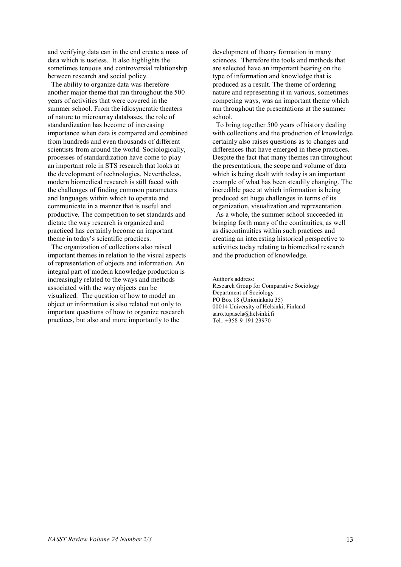and verifying data can in the end create a mass of data which is useless. It also highlights the sometimes tenuous and controversial relationship between research and social policy.

 The ability to organize data was therefore another major theme that ran throughout the 500 years of activities that were covered in the summer school. From the idiosyncratic theaters of nature to microarray databases, the role of standardization has become of increasing importance when data is compared and combined from hundreds and even thousands of different scientists from around the world. Sociologically, processes of standardization have come to play an important role in STS research that looks at the development of technologies. Nevertheless, modern biomedical research is still faced with the challenges of finding common parameters and languages within which to operate and communicate in a manner that is useful and productive. The competition to set standards and dictate the way research is organized and practiced has certainly become an important theme in today's scientific practices.

 The organization of collections also raised important themes in relation to the visual aspects of representation of objects and information. An integral part of modern knowledge production is increasingly related to the ways and methods associated with the way objects can be visualized. The question of how to model an object or information is also related not only to important questions of how to organize research practices, but also and more importantly to the

development of theory formation in many sciences. Therefore the tools and methods that are selected have an important bearing on the type of information and knowledge that is produced as a result. The theme of ordering nature and representing it in various, sometimes competing ways, was an important theme which ran throughout the presentations at the summer school.

 To bring together 500 years of history dealing with collections and the production of knowledge certainly also raises questions as to changes and differences that have emerged in these practices. Despite the fact that many themes ran throughout the presentations, the scope and volume of data which is being dealt with today is an important example of what has been steadily changing. The incredible pace at which information is being produced set huge challenges in terms of its organization, visualization and representation.

 As a whole, the summer school succeeded in bringing forth many of the continuities, as well as discontinuities within such practices and creating an interesting historical perspective to activities today relating to biomedical research and the production of knowledge.

Author's address:

Research Group for Comparative Sociology Department of Sociology PO Box 18 (Unioninkatu 35) 00014 University of Helsinki, Finland aaro.tupasela@helsinki.fi Tel.: +358-9-191 23970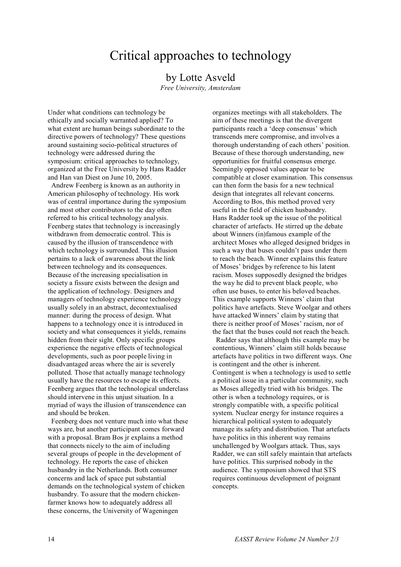## Critical approaches to technology

#### by Lotte Asveld

*Free University, Amsterdam* 

Under what conditions can technology be ethically and socially warranted applied? To what extent are human beings subordinate to the directive powers of technology? These questions around sustaining socio-political structures of technology were addressed during the symposium: critical approaches to technology, organized at the Free University by Hans Radder and Han van Diest on June 10, 2005.

 Andrew Feenberg is known as an authority in American philosophy of technology. His work was of central importance during the symposium and most other contributors to the day often referred to his critical technology analysis. Feenberg states that technology is increasingly withdrawn from democratic control. This is caused by the illusion of transcendence with which technology is surrounded. This illusion pertains to a lack of awareness about the link between technology and its consequences. Because of the increasing specialisation in society a fissure exists between the design and the application of technology. Designers and managers of technology experience technology usually solely in an abstract, decontextualised manner: during the process of design. What happens to a technology once it is introduced in society and what consequences it yields, remains hidden from their sight. Only specific groups experience the negative effects of technological developments, such as poor people living in disadvantaged areas where the air is severely polluted. Those that actually manage technology usually have the resources to escape its effects. Feenberg argues that the technological underclass should intervene in this unjust situation. In a myriad of ways the illusion of transcendence can and should be broken.

 Feenberg does not venture much into what these ways are, but another participant comes forward with a proposal. Bram Bos jr explains a method that connects nicely to the aim of including several groups of people in the development of technology. He reports the case of chicken husbandry in the Netherlands. Both consumer concerns and lack of space put substantial demands on the technological system of chicken husbandry. To assure that the modern chickenfarmer knows how to adequately address all these concerns, the University of Wageningen

organizes meetings with all stakeholders. The aim of these meetings is that the divergent participants reach a 'deep consensus' which transcends mere compromise, and involves a thorough understanding of each others' position. Because of these thorough understanding, new opportunities for fruitful consensus emerge. Seemingly opposed values appear to be compatible at closer examination. This consensus can then form the basis for a new technical design that integrates all relevant concerns. According to Bos, this method proved very useful in the field of chicken husbandry. Hans Radder took up the issue of the political character of artefacts. He stirred up the debate about Winners (in)famous example of the architect Moses who alleged designed bridges in such a way that buses couldn't pass under them to reach the beach. Winner explains this feature of Moses' bridges by reference to his latent racism. Moses supposedly designed the bridges the way he did to prevent black people, who often use buses, to enter his beloved beaches. This example supports Winners' claim that politics have artefacts. Steve Woolgar and others have attacked Winners' claim by stating that there is neither proof of Moses' racism, nor of the fact that the buses could not reach the beach.

 Radder says that although this example may be contentious, Winners' claim still holds because artefacts have politics in two different ways. One is contingent and the other is inherent. Contingent is when a technology is used to settle a political issue in a particular community, such as Moses allegedly tried with his bridges. The other is when a technology requires, or is strongly compatible with, a specific political system. Nuclear energy for instance requires a hierarchical political system to adequately manage its safety and distribution. That artefacts have politics in this inherent way remains unchallenged by Woolgars attack. Thus, says Radder, we can still safely maintain that artefacts have politics. This surprised nobody in the audience. The symposium showed that STS requires continuous development of poignant concepts.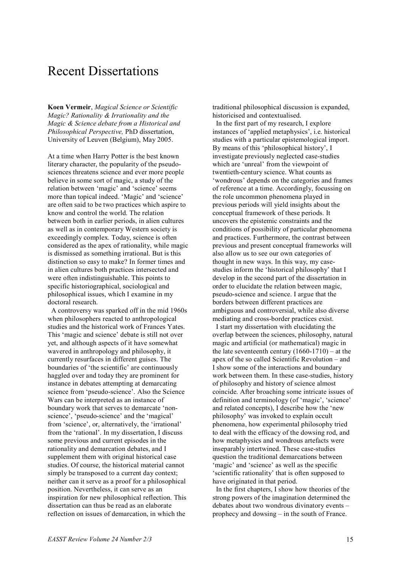## Recent Dissertations

**Koen Vermeir**, *Magical Science or Scientific Magic? Rationality & Irrationality and the Magic & Science debate from a Historical and Philosophical Perspective,* PhD dissertation, University of Leuven (Belgium), May 2005.

At a time when Harry Potter is the best known literary character, the popularity of the pseudosciences threatens science and ever more people believe in some sort of magic, a study of the relation between 'magic' and 'science' seems more than topical indeed. 'Magic' and 'science' are often said to be two practices which aspire to know and control the world. The relation between both in earlier periods, in alien cultures as well as in contemporary Western society is exceedingly complex. Today, science is often considered as the apex of rationality, while magic is dismissed as something irrational. But is this distinction so easy to make? In former times and in alien cultures both practices intersected and were often indistinguishable. This points to specific historiographical, sociological and philosophical issues, which I examine in my doctoral research.

 A controversy was sparked off in the mid 1960s when philosophers reacted to anthropological studies and the historical work of Frances Yates. This 'magic and science' debate is still not over yet, and although aspects of it have somewhat wavered in anthropology and philosophy, it currently resurfaces in different guises. The boundaries of 'the scientific' are continuously haggled over and today they are prominent for instance in debates attempting at demarcating science from 'pseudo-science'. Also the Science Wars can be interpreted as an instance of boundary work that serves to demarcate 'nonscience', 'pseudo-science' and the 'magical' from 'science', or, alternatively, the 'irrational' from the 'rational'. In my dissertation, I discuss some previous and current episodes in the rationality and demarcation debates, and I supplement them with original historical case studies. Of course, the historical material cannot simply be transposed to a current day context; neither can it serve as a proof for a philosophical position. Nevertheless, it can serve as an inspiration for new philosophical reflection. This dissertation can thus be read as an elaborate reflection on issues of demarcation, in which the

traditional philosophical discussion is expanded, historicised and contextualised.

 In the first part of my research, I explore instances of 'applied metaphysics', i.e. historical studies with a particular epistemological import. By means of this 'philosophical history', I investigate previously neglected case-studies which are 'unreal' from the viewpoint of twentieth-century science. What counts as 'wondrous' depends on the categories and frames of reference at a time. Accordingly, focussing on the role uncommon phenomena played in previous periods will yield insights about the conceptual framework of these periods. It uncovers the epistemic constraints and the conditions of possibility of particular phenomena and practices. Furthermore, the contrast between previous and present conceptual frameworks will also allow us to see our own categories of thought in new ways. In this way, my casestudies inform the 'historical philosophy' that I develop in the second part of the dissertation in order to elucidate the relation between magic, pseudo-science and science. I argue that the borders between different practices are ambiguous and controversial, while also diverse mediating and cross-border practices exist.

 I start my dissertation with elucidating the overlap between the sciences, philosophy, natural magic and artificial (or mathematical) magic in the late seventeenth century (1660-1710) – at the apex of the so called Scientific Revolution – and I show some of the interactions and boundary work between them. In these case-studies, history of philosophy and history of science almost coincide. After broaching some intricate issues of definition and terminology (of 'magic', 'science' and related concepts), I describe how the 'new philosophy' was invoked to explain occult phenomena, how experimental philosophy tried to deal with the efficacy of the dowsing rod, and how metaphysics and wondrous artefacts were inseparably intertwined. These case-studies question the traditional demarcations between 'magic' and 'science' as well as the specific 'scientific rationality' that is often supposed to have originated in that period.

 In the first chapters, I show how theories of the strong powers of the imagination determined the debates about two wondrous divinatory events – prophecy and dowsing – in the south of France.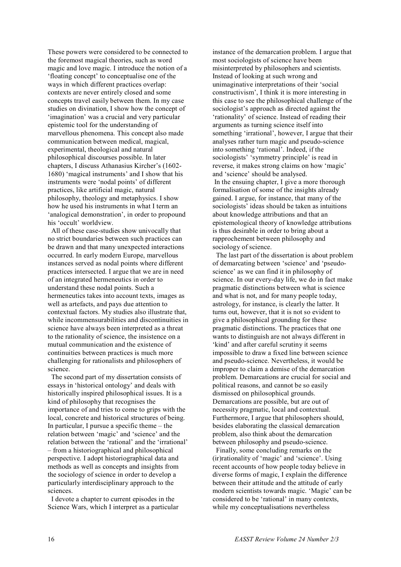These powers were considered to be connected to the foremost magical theories, such as word magic and love magic. I introduce the notion of a 'floating concept' to conceptualise one of the ways in which different practices overlap: contexts are never entirely closed and some concepts travel easily between them. In my case studies on divination, I show how the concept of 'imagination' was a crucial and very particular epistemic tool for the understanding of marvellous phenomena. This concept also made communication between medical, magical, experimental, theological and natural philosophical discourses possible. In later chapters, I discuss Athanasius Kircher's (1602- 1680) 'magical instruments' and I show that his instruments were 'nodal points' of different practices, like artificial magic, natural philosophy, theology and metaphysics. I show how he used his instruments in what I term an 'analogical demonstration', in order to propound his 'occult' worldview.

 All of these case-studies show univocally that no strict boundaries between such practices can be drawn and that many unexpected interactions occurred. In early modern Europe, marvellous instances served as nodal points where different practices intersected. I argue that we are in need of an integrated hermeneutics in order to understand these nodal points. Such a hermeneutics takes into account texts, images as well as artefacts, and pays due attention to contextual factors. My studies also illustrate that, while incommensurabilities and discontinuities in science have always been interpreted as a threat to the rationality of science, the insistence on a mutual communication and the existence of continuities between practices is much more challenging for rationalists and philosophers of science.

 The second part of my dissertation consists of essays in 'historical ontology' and deals with historically inspired philosophical issues. It is a kind of philosophy that recognises the importance of and tries to come to grips with the local, concrete and historical structures of being. In particular, I pursue a specific theme – the relation between 'magic' and 'science' and the relation between the 'rational' and the 'irrational' – from a historiographical and philosophical perspective. I adopt historiographical data and methods as well as concepts and insights from the sociology of science in order to develop a particularly interdisciplinary approach to the sciences.

 I devote a chapter to current episodes in the Science Wars, which I interpret as a particular

instance of the demarcation problem. I argue that most sociologists of science have been misinterpreted by philosophers and scientists. Instead of looking at such wrong and unimaginative interpretations of their 'social constructivism', I think it is more interesting in this case to see the philosophical challenge of the sociologist's approach as directed against the 'rationality' of science. Instead of reading their arguments as turning science itself into something 'irrational', however, I argue that their analyses rather turn magic and pseudo-science into something 'rational'. Indeed, if the sociologists' 'symmetry principle' is read in reverse, it makes strong claims on how 'magic' and 'science' should be analysed. In the ensuing chapter, I give a more thorough formalisation of some of the insights already gained. I argue, for instance, that many of the sociologists' ideas should be taken as intuitions about knowledge attributions and that an epistemological theory of knowledge attributions is thus desirable in order to bring about a rapprochement between philosophy and sociology of science.

 The last part of the dissertation is about problem of demarcating between 'science' and 'pseudoscience' as we can find it in philosophy of science. In our every-day life, we do in fact make pragmatic distinctions between what is science and what is not, and for many people today, astrology, for instance, is clearly the latter. It turns out, however, that it is not so evident to give a philosophical grounding for these pragmatic distinctions. The practices that one wants to distinguish are not always different in 'kind' and after careful scrutiny it seems impossible to draw a fixed line between science and pseudo-science. Nevertheless, it would be improper to claim a demise of the demarcation problem. Demarcations are crucial for social and political reasons, and cannot be so easily dismissed on philosophical grounds. Demarcations are possible, but are out of necessity pragmatic, local and contextual. Furthermore, I argue that philosophers should, besides elaborating the classical demarcation problem, also think about the demarcation between philosophy and pseudo-science.

 Finally, some concluding remarks on the (ir)rationality of 'magic' and 'science'. Using recent accounts of how people today believe in diverse forms of magic, I explain the difference between their attitude and the attitude of early modern scientists towards magic. 'Magic' can be considered to be 'rational' in many contexts, while my conceptualisations nevertheless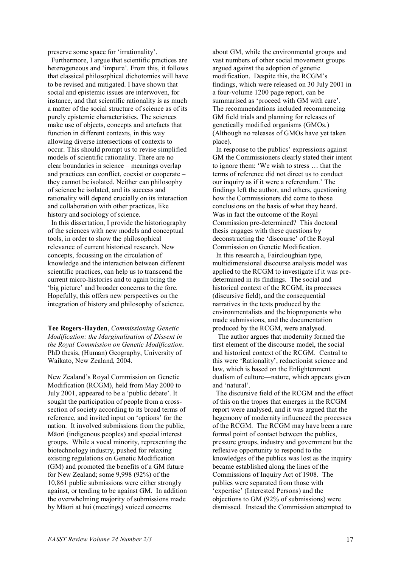preserve some space for 'irrationality'.

 Furthermore, I argue that scientific practices are heterogeneous and 'impure'. From this, it follows that classical philosophical dichotomies will have to be revised and mitigated. I have shown that social and epistemic issues are interwoven, for instance, and that scientific rationality is as much a matter of the social structure of science as of its purely epistemic characteristics. The sciences make use of objects, concepts and artefacts that function in different contexts, in this way allowing diverse intersections of contexts to occur. This should prompt us to revise simplified models of scientific rationality. There are no clear boundaries in science – meanings overlap and practices can conflict, coexist or cooperate – they cannot be isolated. Neither can philosophy of science be isolated, and its success and rationality will depend crucially on its interaction and collaboration with other practices, like history and sociology of science.

 In this dissertation, I provide the historiography of the sciences with new models and conceptual tools, in order to show the philosophical relevance of current historical research. New concepts, focussing on the circulation of knowledge and the interaction between different scientific practices, can help us to transcend the current micro-histories and to again bring the 'big picture' and broader concerns to the fore. Hopefully, this offers new perspectives on the integration of history and philosophy of science.

**Tee Rogers-Hayden**, *Commissioning Genetic Modification: the Marginalisation of Dissent in the Royal Commission on Genetic Modification*. PhD thesis, (Human) Geography, University of Waikato, New Zealand, 2004.

New Zealand's Royal Commission on Genetic Modification (RCGM), held from May 2000 to July 2001, appeared to be a 'public debate'. It sought the participation of people from a crosssection of society according to its broad terms of reference, and invited input on 'options' for the nation. It involved submissions from the public, Māori (indigenous peoples) and special interest groups. While a vocal minority, representing the biotechnology industry, pushed for relaxing existing regulations on Genetic Modification (GM) and promoted the benefits of a GM future for New Zealand; some 9,998 (92%) of the 10,861 public submissions were either strongly against, or tending to be against GM. In addition the overwhelming majority of submissions made by Māori at hui (meetings) voiced concerns

about GM, while the environmental groups and vast numbers of other social movement groups argued against the adoption of genetic modification. Despite this, the RCGM's findings, which were released on 30 July 2001 in a four-volume 1200 page report, can be summarised as 'proceed with GM with care'. The recommendations included recommencing GM field trials and planning for releases of genetically modified organisms (GMOs.) (Although no releases of GMOs have yet taken place).

 In response to the publics' expressions against GM the Commissioners clearly stated their intent to ignore them: 'We wish to stress … that the terms of reference did not direct us to conduct our inquiry as if it were a referendum.' The findings left the author, and others, questioning how the Commissioners did come to those conclusions on the basis of what they heard. Was in fact the outcome of the Royal Commission pre-determined? This doctoral thesis engages with these questions by deconstructing the 'discourse' of the Royal Commission on Genetic Modification.

 In this research a, Faircloughian type, multidimensional discourse analysis model was applied to the RCGM to investigate if it was predetermined in its findings. The social and historical context of the RCGM, its processes (discursive field), and the consequential narratives in the texts produced by the environmentalists and the bioproponents who made submissions, and the documentation produced by the RCGM, were analysed.

 The author argues that modernity formed the first element of the discourse model, the social and historical context of the RCGM. Central to this were 'Rationality', reductionist science and law, which is based on the Enlightenment dualism of culture—nature, which appears given and 'natural'.

 The discursive field of the RCGM and the effect of this on the tropes that emerges in the RCGM report were analysed, and it was argued that the hegemony of modernity influenced the processes of the RCGM. The RCGM may have been a rare formal point of contact between the publics, pressure groups, industry and government but the reflexive opportunity to respond to the knowledges of the publics was lost as the inquiry became established along the lines of the Commissions of Inquiry Act of 1908. The publics were separated from those with 'expertise' (Interested Persons) and the objections to GM (92% of submissions) were dismissed. Instead the Commission attempted to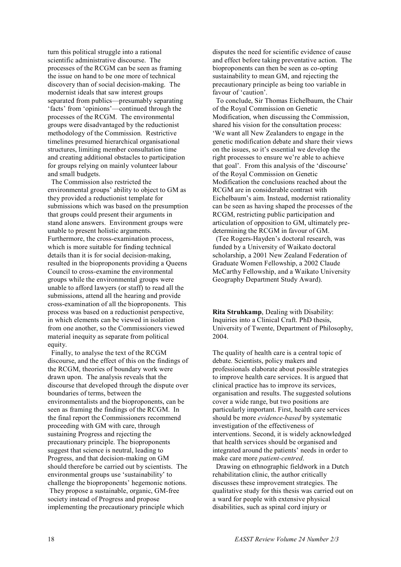turn this political struggle into a rational scientific administrative discourse. The processes of the RCGM can be seen as framing the issue on hand to be one more of technical discovery than of social decision-making. The modernist ideals that saw interest groups separated from publics—presumably separating 'facts' from 'opinions'—continued through the processes of the RCGM. The environmental groups were disadvantaged by the reductionist methodology of the Commission. Restrictive timelines presumed hierarchical organisational structures, limiting member consultation time and creating additional obstacles to participation for groups relying on mainly volunteer labour and small budgets.

 The Commission also restricted the environmental groups' ability to object to GM as they provided a reductionist template for submissions which was based on the presumption that groups could present their arguments in stand alone answers. Environment groups were unable to present holistic arguments. Furthermore, the cross-examination process, which is more suitable for finding technical details than it is for social decision-making, resulted in the bioproponents providing a Queens Council to cross-examine the environmental groups while the environmental groups were unable to afford lawyers (or staff) to read all the submissions, attend all the hearing and provide cross-examination of all the bioproponents. This process was based on a reductionist perspective, in which elements can be viewed in isolation from one another, so the Commissioners viewed material inequity as separate from political equity.

 Finally, to analyse the text of the RCGM discourse, and the effect of this on the findings of the RCGM, theories of boundary work were drawn upon. The analysis reveals that the discourse that developed through the dispute over boundaries of terms, between the environmentalists and the bioproponents, can be seen as framing the findings of the RCGM. In the final report the Commissioners recommend proceeding with GM with care, through sustaining Progress and rejecting the precautionary principle. The bioproponents suggest that science is neutral, leading to Progress, and that decision-making on GM should therefore be carried out by scientists. The environmental groups use 'sustainability' to challenge the bioproponents' hegemonic notions. They propose a sustainable, organic, GM-free society instead of Progress and propose implementing the precautionary principle which

disputes the need for scientific evidence of cause and effect before taking preventative action. The bioproponents can then be seen as co-opting sustainability to mean GM, and rejecting the precautionary principle as being too variable in favour of 'caution'.

 To conclude, Sir Thomas Eichelbaum, the Chair of the Royal Commission on Genetic Modification, when discussing the Commission, shared his vision for the consultation process: 'We want all New Zealanders to engage in the genetic modification debate and share their views on the issues, so it's essential we develop the right processes to ensure we're able to achieve that goal'. From this analysis of the 'discourse' of the Royal Commission on Genetic Modification the conclusions reached about the RCGM are in considerable contrast with Eichelbaum's aim. Instead, modernist rationality can be seen as having shaped the processes of the RCGM, restricting public participation and articulation of opposition to GM, ultimately predetermining the RCGM in favour of GM.

(Tee Rogers-Hayden's doctoral research, was funded by a University of Waikato doctoral scholarship, a 2001 New Zealand Federation of Graduate Women Fellowship, a 2002 Claude McCarthy Fellowship, and a Waikato University Geography Department Study Award).

**Rita Struhkamp**, Dealing with Disability: Inquiries into a Clinical Craft. PhD thesis, University of Twente, Department of Philosophy, 2004.

The quality of health care is a central topic of debate. Scientists, policy makers and professionals elaborate about possible strategies to improve health care services. It is argued that clinical practice has to improve its services, organisation and results. The suggested solutions cover a wide range, but two positions are particularly important. First, health care services should be more *evidence-based* by systematic investigation of the effectiveness of interventions. Second, it is widely acknowledged that health services should be organised and integrated around the patients' needs in order to make care more *patient-centred*.

 Drawing on ethnographic fieldwork in a Dutch rehabilitation clinic, the author critically discusses these improvement strategies. The qualitative study for this thesis was carried out on a ward for people with extensive physical disabilities, such as spinal cord injury or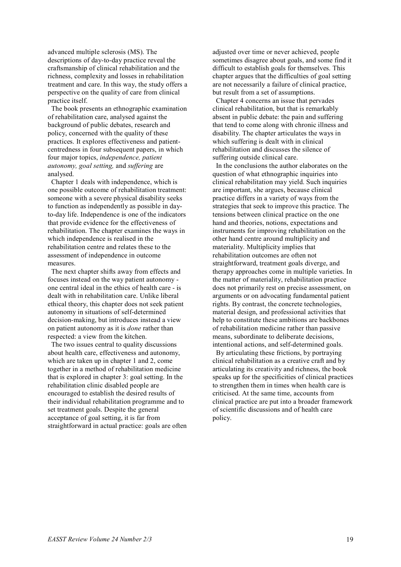advanced multiple sclerosis (MS). The descriptions of day-to-day practice reveal the craftsmanship of clinical rehabilitation and the richness, complexity and losses in rehabilitation treatment and care. In this way, the study offers a perspective on the quality of care from clinical practice itself.

 The book presents an ethnographic examination of rehabilitation care, analysed against the background of public debates, research and policy, concerned with the quality of these practices. It explores effectiveness and patientcentredness in four subsequent papers, in which four major topics, *independence, patient autonomy, goal setting,* and *suffering* are analysed.

 Chapter 1 deals with independence, which is one possible outcome of rehabilitation treatment: someone with a severe physical disability seeks to function as independently as possible in dayto-day life. Independence is one of the indicators that provide evidence for the effectiveness of rehabilitation. The chapter examines the ways in which independence is realised in the rehabilitation centre and relates these to the assessment of independence in outcome measures.

 The next chapter shifts away from effects and focuses instead on the way patient autonomy one central ideal in the ethics of health care - is dealt with in rehabilitation care. Unlike liberal ethical theory, this chapter does not seek patient autonomy in situations of self-determined decision-making, but introduces instead a view on patient autonomy as it is *done* rather than respected: a view from the kitchen.

 The two issues central to quality discussions about health care, effectiveness and autonomy, which are taken up in chapter 1 and 2, come together in a method of rehabilitation medicine that is explored in chapter 3: goal setting. In the rehabilitation clinic disabled people are encouraged to establish the desired results of their individual rehabilitation programme and to set treatment goals. Despite the general acceptance of goal setting, it is far from straightforward in actual practice: goals are often adjusted over time or never achieved, people sometimes disagree about goals, and some find it difficult to establish goals for themselves. This chapter argues that the difficulties of goal setting are not necessarily a failure of clinical practice, but result from a set of assumptions.

 Chapter 4 concerns an issue that pervades clinical rehabilitation, but that is remarkably absent in public debate: the pain and suffering that tend to come along with chronic illness and disability. The chapter articulates the ways in which suffering is dealt with in clinical rehabilitation and discusses the silence of suffering outside clinical care.

 In the conclusions the author elaborates on the question of what ethnographic inquiries into clinical rehabilitation may yield. Such inquiries are important, she argues, because clinical practice differs in a variety of ways from the strategies that seek to improve this practice. The tensions between clinical practice on the one hand and theories, notions, expectations and instruments for improving rehabilitation on the other hand centre around multiplicity and materiality. Multiplicity implies that rehabilitation outcomes are often not straightforward, treatment goals diverge, and therapy approaches come in multiple varieties. In the matter of materiality, rehabilitation practice does not primarily rest on precise assessment, on arguments or on advocating fundamental patient rights. By contrast, the concrete technologies, material design, and professional activities that help to constitute these ambitions are backbones of rehabilitation medicine rather than passive means, subordinate to deliberate decisions, intentional actions, and self-determined goals.

 By articulating these frictions, by portraying clinical rehabilitation as a creative craft and by articulating its creativity and richness, the book speaks up for the specificities of clinical practices to strengthen them in times when health care is criticised. At the same time, accounts from clinical practice are put into a broader framework of scientific discussions and of health care policy.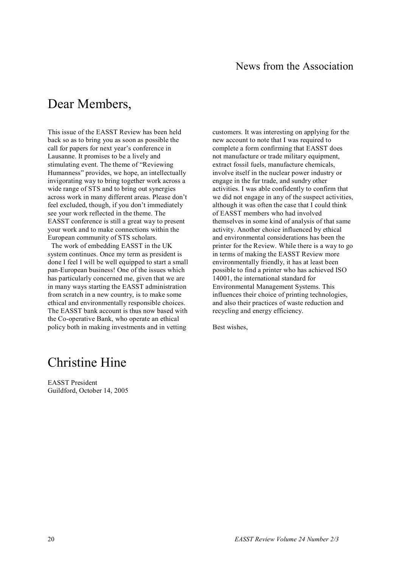# Dear Members,

This issue of the EASST Review has been held back so as to bring you as soon as possible the call for papers for next year's conference in Lausanne. It promises to be a lively and stimulating event. The theme of "Reviewing Humanness" provides, we hope, an intellectually invigorating way to bring together work across a wide range of STS and to bring out synergies across work in many different areas. Please don't feel excluded, though, if you don't immediately see your work reflected in the theme. The EASST conference is still a great way to present your work and to make connections within the European community of STS scholars.

 The work of embedding EASST in the UK system continues. Once my term as president is done I feel I will be well equipped to start a small pan-European business! One of the issues which has particularly concerned me, given that we are in many ways starting the EASST administration from scratch in a new country, is to make some ethical and environmentally responsible choices. The EASST bank account is thus now based with the Co-operative Bank, who operate an ethical policy both in making investments and in vetting

customers. It was interesting on applying for the new account to note that I was required to complete a form confirming that EASST does not manufacture or trade military equipment. extract fossil fuels, manufacture chemicals, involve itself in the nuclear power industry or engage in the fur trade, and sundry other activities. I was able confidently to confirm that we did not engage in any of the suspect activities, although it was often the case that I could think of EASST members who had involved themselves in some kind of analysis of that same activity. Another choice influenced by ethical and environmental considerations has been the printer for the Review. While there is a way to go in terms of making the EASST Review more environmentally friendly, it has at least been possible to find a printer who has achieved ISO 14001, the international standard for Environmental Management Systems. This influences their choice of printing technologies, and also their practices of waste reduction and recycling and energy efficiency.

Best wishes,

### Christine Hine

EASST President Guildford, October 14, 2005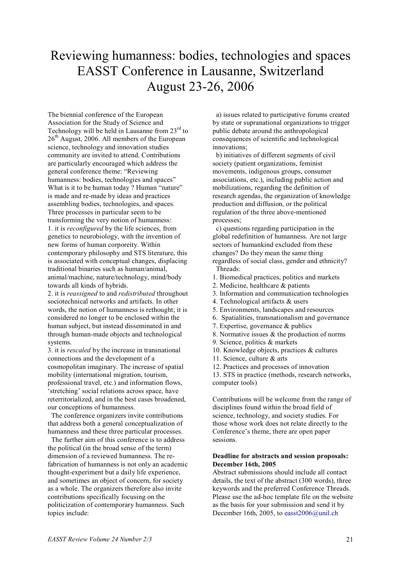# Reviewing humanness: bodies, technologies and spaces EASST Conference in Lausanne, Switzerland August 23-26, 2006

The biennial conference of the European Association for the Study of Science and Technology will be held in Lausanne from 23<sup>rd</sup> to  $26<sup>th</sup>$  August, 2006. All members of the European science, technology and innovation studies community are invited to attend. Contributions are particularly encouraged which address the general conference theme: "Reviewing humanness: bodies, technologies and spaces" What is it to be human today ? Human "nature" is made and re-made by ideas and practices assembling bodies, technologies, and spaces. Three processes in particular seem to be transforming the very notion of humanness: 1. it is *reconfigured* by the life sciences, from genetics to neurobiology, with the invention of new forms of human corporeity. Within contemporary philosophy and STS literature, this is associated with conceptual changes, displacing traditional binaries such as human/animal, animal/machine, nature/technology, mind/body towards all kinds of hybrids.

2. it is *reassigned* to and *redistributed* throughout sociotechnical networks and artifacts. In other words, the notion of humanness is rethought; it is considered no longer to be enclosed within the human subject, but instead disseminated in and through human-made objects and technological systems.

3. it is *rescaled* by the increase in transnational connections and the development of a cosmopolitan imaginary. The increase of spatial mobility (international migration, tourism, professional travel, etc.) and information flows, 'stretching' social relations across space, have reterritorialized, and in the best cases broadened, our conceptions of humanness.

 The conference organizers invite contributions that address both a general conceptualization of humanness and these three particular processes.

 The further aim of this conference is to address the political (in the broad sense of the term) dimension of a reviewed humanness. The refabrication of humanness is not only an academic thought-experiment but a daily life experience, and sometimes an object of concern, for society as a whole. The organizers therefore also invite contributions specifically focusing on the politicization of contemporary humanness. Such topics include:

 a) issues related to participative forums created by state or supranational organizations to trigger public debate around the anthropological consequences of scientific and technological innovations;

 b) initiatives of different segments of civil society (patient organizations, feminist movements, indigenous groups, consumer associations, etc.), including public action and mobilizations, regarding the definition of research agendas, the organization of knowledge production and diffusion, or the political regulation of the three above-mentioned processes;

 c) questions regarding participation in the global redefinition of humanness. Are not large sectors of humankind excluded from these changes? Do they mean the same thing regardless of social class, gender and ethnicity? Threads:

- 1. Biomedical practices, politics and markets
- 2. Medicine, healthcare & patients
- 3. Information and communication technologies
- 4. Technological artifacts & users
- 5. Environments, landscapes and resources
- 6. Spatialities, transnationalism and governance
- 7. Expertise, governance & publics
- 8. Normative issues & the production of norms
- 9. Science, politics & markets
- 10. Knowledge objects, practices & cultures
- 11. Science, culture & arts
- 12. Practices and processes of innovation

13. STS in practice (methods, research networks, computer tools)

Contributions will be welcome from the range of disciplines found within the broad field of science, technology, and society studies. For those whose work does not relate directly to the Conference's theme, there are open paper sessions.

#### **Deadline for abstracts and session proposals: December 16th, 2005**

Abstract submissions should include all contact details, the text of the abstract (300 words), three keywords and the preferred Conference Threads. Please use the ad-hoc template file on the website as the basis for your submission and send it by December 16th, 2005, to easst2006@unil.ch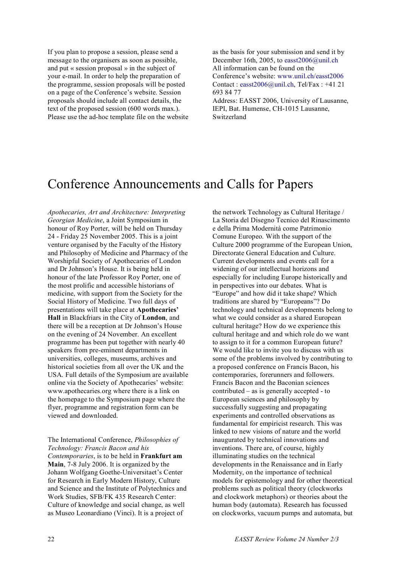If you plan to propose a session, please send a message to the organisers as soon as possible, and put « session proposal » in the subject of your e-mail. In order to help the preparation of the programme, session proposals will be posted on a page of the Conference's website. Session proposals should include all contact details, the text of the proposed session (600 words max.). Please use the ad-hoc template file on the website as the basis for your submission and send it by December 16th, 2005, to easst2006@unil.ch All information can be found on the Conference's website: www.unil.ch/easst2006 Contact : easst2006@unil.ch, Tel/Fax : +41 21 693 84 77 Address: EASST 2006, University of Lausanne, IEPI, Bat. Humense, CH-1015 Lausanne, Switzerland

### Conference Announcements and Calls for Papers

*Apothecaries, Art and Architecture: Interpreting Georgian Medicine*, a Joint Symposium in honour of Roy Porter, will be held on Thursday 24 - Friday 25 November 2005. This is a joint venture organised by the Faculty of the History and Philosophy of Medicine and Pharmacy of the Worshipful Society of Apothecaries of London and Dr Johnson's House. It is being held in honour of the late Professor Roy Porter, one of the most prolific and accessible historians of medicine, with support from the Society for the Social History of Medicine. Two full days of presentations will take place at **Apothecaries' Hall** in Blackfriars in the City of **London**, and there will be a reception at Dr Johnson's House on the evening of 24 November. An excellent programme has been put together with nearly 40 speakers from pre-eminent departments in universities, colleges, museums, archives and historical societies from all over the UK and the USA. Full details of the Symposium are available online via the Society of Apothecaries' website: www.apothecaries.org where there is a link on the homepage to the Symposium page where the flyer, programme and registration form can be viewed and downloaded.

The International Conference, *Philosophies of Technology: Francis Bacon and his Contemporaries*, is to be held in **Frankfurt am Main**, 7-8 July 2006. It is organized by the Johann Wolfgang Goethe-Universitaet's Center for Research in Early Modern History, Culture and Science and the Institute of Polytechnics and Work Studies, SFB/FK 435 Research Center: Culture of knowledge and social change, as well as Museo Leonardiano (Vinci). It is a project of

the network Technology as Cultural Heritage / La Storia del Disegno Tecnico del Rinascimento e della Prima Modernità come Patrimonio Comune Europeo. With the support of the Culture 2000 programme of the European Union, Directorate General Education and Culture. Current developments and events call for a widening of our intellectual horizons and especially for including Europe historically and in perspectives into our debates. What is "Europe" and how did it take shape? Which traditions are shared by "Europeans"? Do technology and technical developments belong to what we could consider as a shared European cultural heritage? How do we experience this cultural heritage and and which role do we want to assign to it for a common European future? We would like to invite you to discuss with us some of the problems involved by contributing to a proposed conference on Francis Bacon, his contemporaries, forerunners and followers. Francis Bacon and the Baconian sciences contributed – as is generally accepted - to European sciences and philosophy by successfully suggesting and propagating experiments and controlled observations as fundamental for empiricist research. This was linked to new visions of nature and the world inaugurated by technical innovations and inventions. There are, of course, highly illuminating studies on the technical developments in the Renaissance and in Early Modernity, on the importance of technical models for epistemology and for other theoretical problems such as political theory (clockworks and clockwork metaphors) or theories about the human body (automata). Research has focussed on clockworks, vacuum pumps and automata, but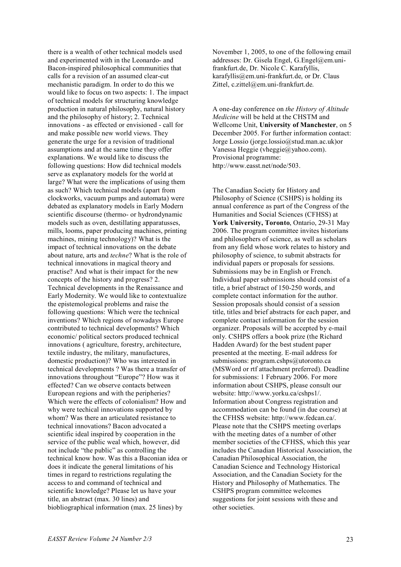there is a wealth of other technical models used and experimented with in the Leonardo- and Bacon-inspired philosophical communities that calls for a revision of an assumed clear-cut mechanistic paradigm. In order to do this we would like to focus on two aspects: 1. The impact of technical models for structuring knowledge production in natural philosophy, natural history and the philosophy of history; 2. Technical innovations - as effected or envisioned - call for and make possible new world views. They generate the urge for a revision of traditional assumptions and at the same time they offer explanations. We would like to discuss the following questions: How did technical models serve as explanatory models for the world at large? What were the implications of using them as such? Which technical models (apart from clockworks, vacuum pumps and automata) were debated as explanatory models in Early Modern scientific discourse (thermo- or hydrondynamic models such as oven, destillating apparatusses, mills, looms, paper producing machines, printing machines, mining technology)? What is the impact of technical innovations on the debate about nature, arts and *techne*? What is the role of technical innovations in magical theory and practise? And what is their impact for the new concepts of the history and progress? 2. Technical developments in the Renaissance and Early Modernity. We would like to contextualize the epistemological problems and raise the following questions: Which were the technical inventions? Which regions of nowadays Europe contributed to technical developments? Which economic/ political sectors produced technical innovations ( agriculture, forestry, architecture, textile industry, the military, manufactures, domestic production)? Who was interested in technical developments ? Was there a transfer of innovations throughout "Europe"? How was it effected? Can we observe contacts between European regions and with the peripheries? Which were the effects of colonialism? How and why were techical innovations supported by whom? Was there an articulated resistance to technical innovations? Bacon advocated a scientific ideal inspired by cooperation in the service of the public weal which, however, did not include "the public" as controlling the technical know how. Was this a Baconian idea or does it indicate the general limitations of his times in regard to restrictions regulating the access to and command of technical and scientific knowledge? Please let us have your title, an abstract (max. 30 lines) and biobliographical information (max. 25 lines) by

November 1, 2005, to one of the following email addresses: Dr. Gisela Engel, G.Engel@em.unifrankfurt.de, Dr. Nicole C. Karafyllis, karafyllis@em.uni-frankfurt.de, or Dr. Claus Zittel, c.zittel@em.uni-frankfurt.de.

A one-day conference on *the History of Altitude Medicine* will be held at the CHSTM and Wellcome Unit, **University of Manchester**, on 5 December 2005. For further information contact: Jorge Lossio (jorge.lossio@stud.man.ac.uk)or Vanessa Heggie (vheggie@yahoo.com). Provisional programme: http://www.easst.net/node/503.

The Canadian Society for History and Philosophy of Science (CSHPS) is holding its annual conference as part of the Congress of the Humanities and Social Sciences (CFHSS) at **York University, Toronto**, Ontario, 29-31 May 2006. The program committee invites historians and philosophers of science, as well as scholars from any field whose work relates to history and philosophy of science, to submit abstracts for individual papers or proposals for sessions. Submissions may be in English or French. Individual paper submissions should consist of a title, a brief abstract of 150-250 words, and complete contact information for the author. Session proposals should consist of a session title, titles and brief abstracts for each paper, and complete contact information for the session organizer. Proposals will be accepted by e-mail only. CSHPS offers a book prize (the Richard Hadden Award) for the best student paper presented at the meeting. E-mail address for submissions: program.cshps@utoronto.ca (MSWord or rtf attachment preferred). Deadline for submissions: 1 February 2006. For more information about CSHPS, please consult our website: http://www.yorku.ca/cshps1/. Information about Congress registration and accommodation can be found (in due course) at the CFHSS website: http://www.fedcan.ca/. Please note that the CSHPS meeting overlaps with the meeting dates of a number of other member societies of the CFHSS, which this year includes the Canadian Historical Association, the Canadian Philosophical Association, the Canadian Science and Technology Historical Association, and the Canadian Society for the History and Philosophy of Mathematics. The CSHPS program committee welcomes suggestions for joint sessions with these and other societies.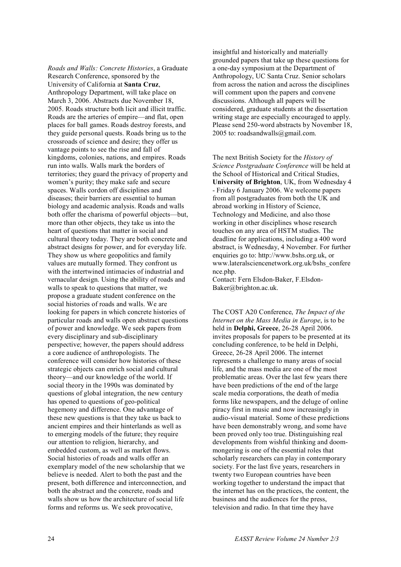*Roads and Walls: Concrete Histories*, a Graduate Research Conference, sponsored by the University of California at **Santa Cruz**, Anthropology Department, will take place on March 3, 2006. Abstracts due November 18, 2005. Roads structure both licit and illicit traffic. Roads are the arteries of empire—and flat, open places for ball games. Roads destroy forests, and they guide personal quests. Roads bring us to the crossroads of science and desire; they offer us vantage points to see the rise and fall of kingdoms, colonies, nations, and empires. Roads run into walls. Walls mark the borders of territories; they guard the privacy of property and women's purity; they make safe and secure spaces. Walls cordon off disciplines and diseases; their barriers are essential to human biology and academic analysis. Roads and walls both offer the charisma of powerful objects—but, more than other objects, they take us into the heart of questions that matter in social and cultural theory today. They are both concrete and abstract designs for power, and for everyday life. They show us where geopolitics and family values are mutually formed. They confront us with the intertwined intimacies of industrial and vernacular design. Using the ability of roads and walls to speak to questions that matter, we propose a graduate student conference on the social histories of roads and walls. We are looking for papers in which concrete histories of particular roads and walls open abstract questions of power and knowledge. We seek papers from every disciplinary and sub-disciplinary perspective; however, the papers should address a core audience of anthropologists. The conference will consider how histories of these strategic objects can enrich social and cultural theory—and our knowledge of the world. If social theory in the 1990s was dominated by questions of global integration, the new century has opened to questions of geo-political hegemony and difference. One advantage of these new questions is that they take us back to ancient empires and their hinterlands as well as to emerging models of the future; they require our attention to religion, hierarchy, and embedded custom, as well as market flows. Social histories of roads and walls offer an exemplary model of the new scholarship that we believe is needed. Alert to both the past and the present, both difference and interconnection, and both the abstract and the concrete, roads and walls show us how the architecture of social life forms and reforms us. We seek provocative,

insightful and historically and materially grounded papers that take up these questions for a one-day symposium at the Department of Anthropology, UC Santa Cruz. Senior scholars from across the nation and across the disciplines will comment upon the papers and convene discussions. Although all papers will be considered, graduate students at the dissertation writing stage are especially encouraged to apply. Please send 250-word abstracts by November 18, 2005 to: roadsandwalls@gmail.com.

The next British Society for the *History of Science Postgraduate Conference* will be held at the School of Historical and Critical Studies, **University of Brighton**, UK, from Wednesday 4 - Friday 6 January 2006. We welcome papers from all postgraduates from both the UK and abroad working in History of Science, Technology and Medicine, and also those working in other disciplines whose research touches on any area of HSTM studies. The deadline for applications, including a 400 word abstract, is Wednesday, 4 November. For further enquiries go to: http://www.bshs.org.uk, or www.lateralsciencenetwork.org.uk/bshs\_confere nce.php.

Contact: Fern Elsdon-Baker, F.Elsdon-Baker@brighton.ac.uk.

The COST A20 Conference, *The Impact of the Internet on the Mass Media in Europe*, is to be held in **Delphi, Greece**, 26-28 April 2006. invites proposals for papers to be presented at its concluding conference, to be held in Delphi, Greece, 26-28 April 2006. The internet represents a challenge to many areas of social life, and the mass media are one of the most problematic areas. Over the last few years there have been predictions of the end of the large scale media corporations, the death of media forms like newspapers, and the deluge of online piracy first in music and now increasingly in audio-visual material. Some of these predictions have been demonstrably wrong, and some have been proved only too true. Distinguishing real developments from wishful thinking and doommongering is one of the essential roles that scholarly researchers can play in contemporary society. For the last five years, researchers in twenty two European countries have been working together to understand the impact that the internet has on the practices, the content, the business and the audiences for the press, television and radio. In that time they have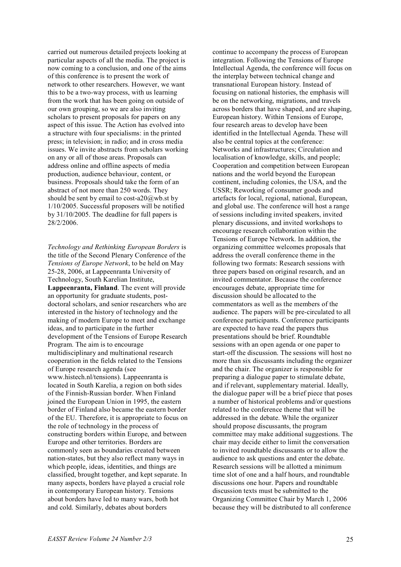carried out numerous detailed projects looking at particular aspects of all the media. The project is now coming to a conclusion, and one of the aims of this conference is to present the work of network to other researchers. However, we want this to be a two-way process, with us learning from the work that has been going on outside of our own grouping, so we are also inviting scholars to present proposals for papers on any aspect of this issue. The Action has evolved into a structure with four specialisms: in the printed press; in television; in radio; and in cross media issues. We invite abstracts from scholars working on any or all of those areas. Proposals can address online and offline aspects of media production, audience behaviour, content, or business. Proposals should take the form of an abstract of not more than 250 words. They should be sent by email to cost-a20 $@$ wb.st by 1/10/2005. Successful proposers will be notified by 31/10/2005. The deadline for full papers is 28/2/2006.

*Technology and Rethinking European Borders* is the title of the Second Plenary Conference of the *Tensions of Europe Network*, to be held on May 25-28, 2006, at Lappeenranta University of Technology, South Karelian Institute, **Lappeenranta, Finland**. The event will provide an opportunity for graduate students, postdoctoral scholars, and senior researchers who are interested in the history of technology and the making of modern Europe to meet and exchange ideas, and to participate in the further development of the Tensions of Europe Research Program. The aim is to encourage multidisciplinary and multinational research cooperation in the fields related to the Tensions of Europe research agenda (see www.histech.nl/tensions). Lappeenranta is located in South Karelia, a region on both sides of the Finnish-Russian border. When Finland joined the European Union in 1995, the eastern border of Finland also became the eastern border of the EU. Therefore, it is appropriate to focus on the role of technology in the process of constructing borders within Europe, and between Europe and other territories. Borders are commonly seen as boundaries created between nation-states, but they also reflect many ways in which people, ideas, identities, and things are classified, brought together, and kept separate. In many aspects, borders have played a crucial role in contemporary European history. Tensions about borders have led to many wars, both hot and cold. Similarly, debates about borders

continue to accompany the process of European integration. Following the Tensions of Europe Intellectual Agenda, the conference will focus on the interplay between technical change and transnational European history. Instead of focusing on national histories, the emphasis will be on the networking, migrations, and travels across borders that have shaped, and are shaping, European history. Within Tensions of Europe, four research areas to develop have been identified in the Intellectual Agenda. These will also be central topics at the conference: Networks and infrastructures; Circulation and localisation of knowledge, skills, and people; Cooperation and competition between European nations and the world beyond the European continent, including colonies, the USA, and the USSR; Reworking of consumer goods and artefacts for local, regional, national, European, and global use. The conference will host a range of sessions including invited speakers, invited plenary discussions, and invited workshops to encourage research collaboration within the Tensions of Europe Network. In addition, the organizing committee welcomes proposals that address the overall conference theme in the following two formats: Research sessions with three papers based on original research, and an invited commentator. Because the conference encourages debate, appropriate time for discussion should be allocated to the commentators as well as the members of the audience. The papers will be pre-circulated to all conference participants. Conference participants are expected to have read the papers thus presentations should be brief. Roundtable sessions with an open agenda or one paper to start-off the discussion. The sessions will host no more than six discussants including the organizer and the chair. The organizer is responsible for preparing a dialogue paper to stimulate debate, and if relevant, supplementary material. Ideally, the dialogue paper will be a brief piece that poses a number of historical problems and/or questions related to the conference theme that will be addressed in the debate. While the organizer should propose discussants, the program committee may make additional suggestions. The chair may decide either to limit the conversation to invited roundtable discussants or to allow the audience to ask questions and enter the debate. Research sessions will be allotted a minimum time slot of one and a half hours, and roundtable discussions one hour. Papers and roundtable discussion texts must be submitted to the Organizing Committee Chair by March 1, 2006 because they will be distributed to all conference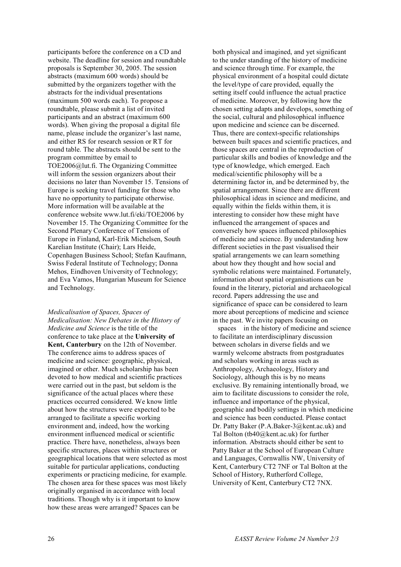participants before the conference on a CD and website. The deadline for session and roundtable proposals is September 30, 2005. The session abstracts (maximum 600 words) should be submitted by the organizers together with the abstracts for the individual presentations (maximum 500 words each). To propose a roundtable, please submit a list of invited participants and an abstract (maximum 600 words). When giving the proposal a digital file name, please include the organizer's last name, and either RS for research session or RT for round table. The abstracts should be sent to the program committee by email to TOE2006@lut.fi. The Organizing Committee will inform the session organizers about their decisions no later than November 15. Tensions of Europe is seeking travel funding for those who have no opportunity to participate otherwise. More information will be available at the conference website www.lut.fi/eki/TOE2006 by November 15. The Organizing Committee for the Second Plenary Conference of Tensions of Europe in Finland, Karl-Erik Michelsen, South Karelian Institute (Chair); Lars Heide, Copenhagen Business School; Stefan Kaufmann, Swiss Federal Institute of Technology; Donna Mehos, Eindhoven University of Technology; and Eva Vamos, Hungarian Museum for Science and Technology.

*Medicalisation of Spaces, Spaces of Medicalisation: New Debates in the History of Medicine and Science* is the title of the conference to take place at the **University of Kent, Canterbury** on the 12th of November. The conference aims to address spaces of medicine and science: geographic, physical, imagined or other. Much scholarship has been devoted to how medical and scientific practices were carried out in the past, but seldom is the significance of the actual places where these practices occurred considered. We know little about how the structures were expected to be arranged to facilitate a specific working environment and, indeed, how the working environment influenced medical or scientific practice. There have, nonetheless, always been specific structures, places within structures or geographical locations that were selected as most suitable for particular applications, conducting experiments or practicing medicine, for example. The chosen area for these spaces was most likely originally organised in accordance with local traditions. Though why is it important to know how these areas were arranged? Spaces can be

both physical and imagined, and yet significant to the under standing of the history of medicine and science through time. For example, the physical environment of a hospital could dictate the level/type of care provided, equally the setting itself could influence the actual practice of medicine. Moreover, by following how the chosen setting adapts and develops, something of the social, cultural and philosophical influence upon medicine and science can be discerned. Thus, there are context-specific relationships between built spaces and scientific practices, and those spaces are central in the reproduction of particular skills and bodies of knowledge and the type of knowledge, which emerged. Each medical/scientific philosophy will be a determining factor in, and be determined by, the spatial arrangement. Since there are different philosophical ideas in science and medicine, and equally within the fields within them, it is interesting to consider how these might have influenced the arrangement of spaces and conversely how spaces influenced philosophies of medicine and science. By understanding how different societies in the past visualised their spatial arrangements we can learn something about how they thought and how social and symbolic relations were maintained. Fortunately, information about spatial organisations can be found in the literary, pictorial and archaeological record. Papers addressing the use and significance of space can be considered to learn more about perceptions of medicine and science in the past. We invite papers focusing on

spaces in the history of medicine and science to facilitate an interdisciplinary discussion between scholars in diverse fields and we warmly welcome abstracts from postgraduates and scholars working in areas such as Anthropology, Archaeology, History and Sociology, although this is by no means exclusive. By remaining intentionally broad, we aim to facilitate discussions to consider the role, influence and importance of the physical, geographic and bodily settings in which medicine and science has been conducted. Please contact Dr. Patty Baker (P.A.Baker-3@kent.ac.uk) and Tal Bolton (tb40@kent.ac.uk) for further information. Abstracts should either be sent to Patty Baker at the School of European Culture and Languages, Cornwallis NW, University of Kent, Canterbury CT2 7NF or Tal Bolton at the School of History, Rutherford College, University of Kent, Canterbury CT2 7NX.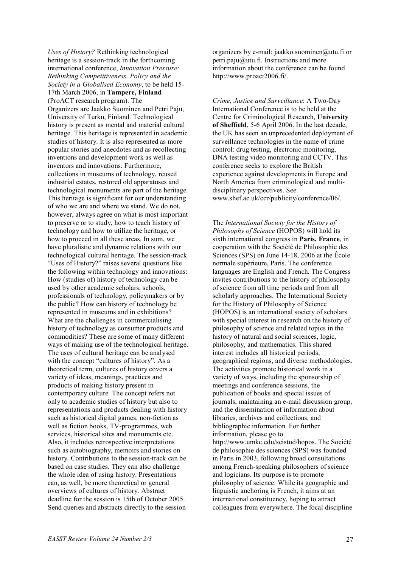*Uses of History?* Rethinking technological heritage is a session-track in the forthcoming international conference, *Innovation Pressure: Rethinking Competitiveness, Policy and the Society in a Globalised Economy*, to be held 15- 17th March 2006, in **Tampere, Finland** (ProACT research program). The Organizers are Jaakko Suominen and Petri Paju, University of Turku, Finland. Technological history is present as mental and material cultural heritage. This heritage is represented in academic studies of history. It is also represented as more popular stories and anecdotes and as recollecting inventions and development work as well as inventors and innovations. Furthermore, collections in museums of technology, reused industrial estates, restored old apparatuses and technological monuments are part of the heritage. This heritage is significant for our understanding of who we are and where we stand. We do not, however, always agree on what is most important to preserve or to study, how to teach history of technology and how to utilize the heritage, or how to proceed in all these areas. In sum, we have pluralistic and dynamic relations with our technological cultural heritage. The session-track "Uses of History?" raises several questions like the following within technology and innovations: How (studies of) history of technology can be used by other academic scholars, schools, professionals of technology, policymakers or by the public? How can history of technology be represented in museums and in exhibitions? What are the challenges in commercialising history of technology as consumer products and commodities? These are some of many different ways of making use of the technological heritage. The uses of cultural heritage can be analysed with the concept "cultures of history". As a theoretical term, cultures of history covers a variety of ideas, meanings, practices and products of making history present in contemporary culture. The concept refers not only to academic studies of history but also to representations and products dealing with history such as historical digital games, non-fiction as well as fiction books, TV-programmes, web services, historical sites and monuments etc. Also, it includes retrospective interpretations such as autobiography, memoirs and stories on history. Contributions to the session-track can be based on case studies. They can also challenge the whole idea of using history. Presentations can, as well, be more theoretical or general overviews of cultures of history. Abstract deadline for the session is 15th of October 2005. Send queries and abstracts directly to the session

organizers by e-mail: jaakko.suominen@utu.fi or petri.paju@utu.fi. Instructions and more information about the conference can be found http://www.proact2006.fi/.

*Crime, Justice and Surveillance*: A Two-Day International Conference is to be held at the Centre for Criminological Research, **University of Sheffield**, 5-6 April 2006. In the last decade, the UK has seen an unprecedented deployment of surveillance technologies in the name of crime control: drug testing, electronic monitoring, DNA testing video monitoring and CCTV. This conference seeks to explore the British experience against developments in Europe and North America from criminological and multidisciplinary perspectives. See www.shef.ac.uk/ccr/publicity/conference/06/.

The *International Society for the History of Philosophy of Science* (HOPOS) will hold its sixth international congress in **Paris, France**, in cooperation with the Société de Philosophie des Sciences (SPS) on June 14-18, 2006 at the École normale supérieure, Paris. The conference languages are English and French. The Congress invites contributions to the history of philosophy of science from all time periods and from all scholarly approaches. The International Society for the History of Philosophy of Science (HOPOS) is an international society of scholars with special interest in research on the history of philosophy of science and related topics in the history of natural and social sciences, logic. philosophy, and mathematics. This shared interest includes all historical periods, geographical regions, and diverse methodologies. The activities promote historical work in a variety of ways, including the sponsorship of meetings and conference sessions, the publication of books and special issues of journals, maintaining an e-mail discussion group, and the dissemination of information about libraries, archives and collections, and bibliographic information. For further information, please go to http://www.umkc.edu/scistud/hopos. The Société de philosophie des sciences (SPS) was founded in Paris in 2003, following broad consultations among French-speaking philosophers of science and logicians. Its purpose is to promote philosophy of science. While its geographic and linguistic anchoring is French, it aims at an international constituency, hoping to attract colleagues from everywhere. The focal discipline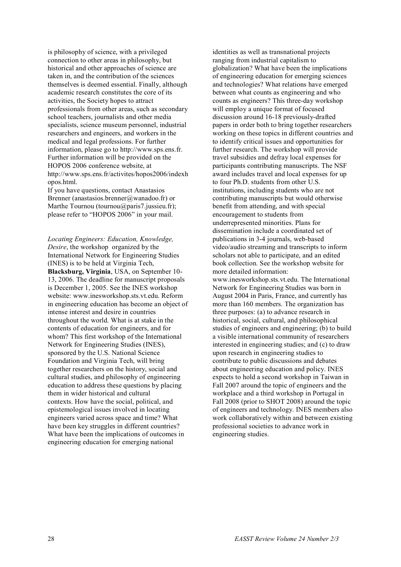is philosophy of science, with a privileged connection to other areas in philosophy, but historical and other approaches of science are taken in, and the contribution of the sciences themselves is deemed essential. Finally, although academic research constitutes the core of its activities, the Society hopes to attract professionals from other areas, such as secondary school teachers, journalists and other media specialists, science museum personnel, industrial researchers and engineers, and workers in the medical and legal professions. For further information, please go to http://www.sps.ens.fr. Further information will be provided on the HOPOS 2006 conference website, at http://www.sps.ens.fr/activites/hopos2006/indexh opos.html.

If you have questions, contact Anastasios Brenner (anastasios.brenner@wanadoo.fr) or Marthe Tournou (tournou@paris7.jussieu.fr); please refer to "HOPOS 2006" in your mail.

*Locating Engineers: Education, Knowledge, Desire*, the workshop organized by the International Network for Engineering Studies (INES) is to be held at Virginia Tech, **Blacksburg, Virginia**, USA, on September 10- 13, 2006. The deadline for manuscript proposals is December 1, 2005. See the INES workshop website: www.inesworkshop.sts.vt.edu. Reform in engineering education has become an object of intense interest and desire in countries throughout the world. What is at stake in the contents of education for engineers, and for whom? This first workshop of the International Network for Engineering Studies (INES), sponsored by the U.S. National Science Foundation and Virginia Tech, will bring together researchers on the history, social and cultural studies, and philosophy of engineering education to address these questions by placing them in wider historical and cultural contexts. How have the social, political, and epistemological issues involved in locating engineers varied across space and time? What have been key struggles in different countries? What have been the implications of outcomes in engineering education for emerging national

identities as well as transnational projects ranging from industrial capitalism to globalization? What have been the implications of engineering education for emerging sciences and technologies? What relations have emerged between what counts as engineering and who counts as engineers? This three-day workshop will employ a unique format of focused discussion around 16-18 previously-drafted papers in order both to bring together researchers working on these topics in different countries and to identify critical issues and opportunities for further research. The workshop will provide travel subsidies and defray local expenses for participants contributing manuscripts. The NSF award includes travel and local expenses for up to four Ph.D. students from other  $\overline{US}$ . institutions, including students who are not contributing manuscripts but would otherwise benefit from attending, and with special encouragement to students from underrepresented minorities. Plans for dissemination include a coordinated set of publications in 3-4 journals, web-based video/audio streaming and transcripts to inform scholars not able to participate, and an edited book collection. See the workshop website for more detailed information: www.inesworkshop.sts.vt.edu. The International Network for Engineering Studies was born in August 2004 in Paris, France, and currently has more than 160 members. The organization has three purposes: (a) to advance research in historical, social, cultural, and philosophical studies of engineers and engineering; (b) to build a visible international community of researchers interested in engineering studies; and (c) to draw upon research in engineering studies to contribute to public discussions and debates about engineering education and policy. INES expects to hold a second workshop in Taiwan in Fall 2007 around the topic of engineers and the workplace and a third workshop in Portugal in Fall 2008 (prior to SHOT 2008) around the topic of engineers and technology. INES members also work collaboratively within and between existing professional societies to advance work in engineering studies.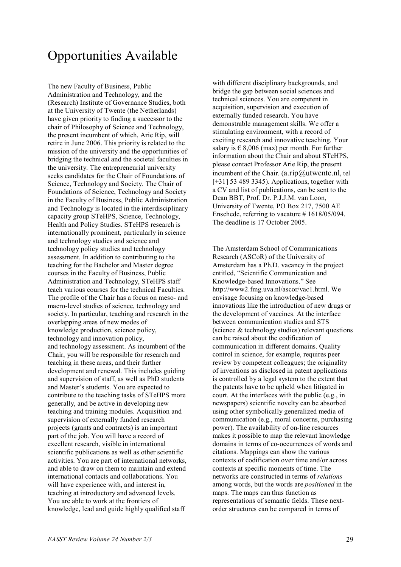# Opportunities Available

The new Faculty of Business, Public Administration and Technology, and the (Research) Institute of Governance Studies, both at the University of Twente (the Netherlands) have given priority to finding a successor to the chair of Philosophy of Science and Technology, the present incumbent of which, Arie Rip, will retire in June 2006. This priority is related to the mission of the university and the opportunities of bridging the technical and the societal faculties in the university. The entrepreneurial university seeks candidates for the Chair of Foundations of Science, Technology and Society. The Chair of Foundations of Science, Technology and Society in the Faculty of Business, Public Administration and Technology is located in the interdisciplinary capacity group STeHPS, Science, Technology, Health and Policy Studies. STeHPS research is internationally prominent, particularly in science and technology studies and science and technology policy studies and technology assessment. In addition to contributing to the teaching for the Bachelor and Master degree courses in the Faculty of Business, Public Administration and Technology, STeHPS staff teach various courses for the technical Faculties. The profile of the Chair has a focus on meso- and macro-level studies of science, technology and society. In particular, teaching and research in the overlapping areas of new modes of knowledge production, science policy, technology and innovation policy, and technology assessment. As incumbent of the Chair, you will be responsible for research and teaching in these areas, and their further development and renewal. This includes guiding and supervision of staff, as well as PhD students and Master's students. You are expected to contribute to the teaching tasks of STeHPS more generally, and be active in developing new teaching and training modules. Acquisition and supervision of externally funded research projects (grants and contracts) is an important part of the job. You will have a record of excellent research, visible in international scientific publications as well as other scientific activities. You are part of international networks, and able to draw on them to maintain and extend international contacts and collaborations. You will have experience with, and interest in, teaching at introductory and advanced levels. You are able to work at the frontiers of knowledge, lead and guide highly qualified staff

with different disciplinary backgrounds, and bridge the gap between social sciences and technical sciences. You are competent in acquisition, supervision and execution of externally funded research. You have demonstrable management skills. We offer a stimulating environment, with a record of exciting research and innovative teaching. Your salary is  $\epsilon$  8,006 (max) per month. For further information about the Chair and about STeHPS, please contact Professor Arie Rip, the present incumbent of the Chair.  $(a.\text{rip@utwente} . n]$ , tel [+31] 53 489 3345). Applications, together with a CV and list of publications, can be sent to the Dean BBT, Prof. Dr. P.J.J.M. van Loon, University of Twente, PO Box 217, 7500 AE Enschede, referring to vacature # 1618/05/094. The deadline is 17 October 2005.

The Amsterdam School of Communications Research (ASCoR) of the University of Amsterdam has a Ph.D. vacancy in the project entitled, "Scientific Communication and Knowledge-based Innovations." See http://www2.fmg.uva.nl/ascor/vac1.html. We envisage focusing on knowledge-based innovations like the introduction of new drugs or the development of vaccines. At the interface between communication studies and STS (science & technology studies) relevant questions can be raised about the codification of communication in different domains. Quality control in science, for example, requires peer review by competent colleagues; the originality of inventions as disclosed in patent applications is controlled by a legal system to the extent that the patents have to be upheld when litigated in court. At the interfaces with the public (e.g., in newspapers) scientific novelty can be absorbed using other symbolically generalized media of communication (e.g., moral concerns, purchasing power). The availability of on-line resources makes it possible to map the relevant knowledge domains in terms of co-occurrences of words and citations. Mappings can show the various contexts of codification over time and/or across contexts at specific moments of time. The networks are constructed in terms of *relations*  among words, but the words are *positioned* in the maps. The maps can thus function as representations of semantic fields. These nextorder structures can be compared in terms of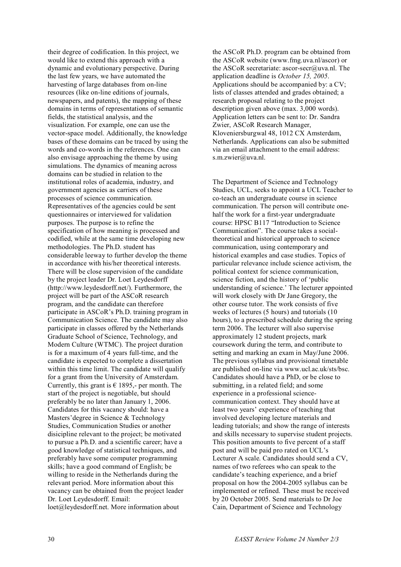their degree of codification. In this project, we would like to extend this approach with a dynamic and evolutionary perspective. During the last few years, we have automated the harvesting of large databases from on-line resources (like on-line editions of journals, newspapers, and patents), the mapping of these domains in terms of representations of semantic fields, the statistical analysis, and the visualization. For example, one can use the vector-space model. Additionally, the knowledge bases of these domains can be traced by using the words and co-words in the references. One can also envisage approaching the theme by using simulations. The dynamics of meaning across domains can be studied in relation to the institutional roles of academia, industry, and government agencies as carriers of these processes of science communication. Representatives of the agencies could be sent questionnaires or interviewed for validation purposes. The purpose is to refine the specification of how meaning is processed and codified, while at the same time developing new methodologies. The Ph.D. student has considerable leeway to further develop the theme in accordance with his/her theoretical interests. There will be close supervision of the candidate by the project leader Dr. Loet Leydesdorff (http://www.leydesdorff.net/). Furthermore, the project will be part of the ASCoR research program, and the candidate can therefore participate in ASCoR's Ph.D. training program in Communication Science. The candidate may also participate in classes offered by the Netherlands Graduate School of Science, Technology, and Modern Culture (WTMC). The project duration is for a maximum of 4 years full-time, and the candidate is expected to complete a dissertation within this time limit. The candidate will qualify for a grant from the University of Amsterdam. Currently, this grant is  $\epsilon$  1895,- per month. The start of the project is negotiable, but should preferably be no later than January 1, 2006. Candidates for this vacancy should: have a Masters'degree in Science & Technology Studies, Communication Studies or another disicipline relevant to the project; be motivated to pursue a Ph.D. and a scientific career; have a good knowledge of statistical techniques, and preferably have some computer programming skills; have a good command of English; be willing to reside in the Netherlands during the relevant period. More information about this vacancy can be obtained from the project leader Dr. Loet Leydesdorff. Email:

loet@leydesdorff.net. More information about

the ASCoR Ph.D. program can be obtained from the ASCoR website (www.fmg.uva.nl/ascor) or the ASCoR secretariate: ascor-secr@uva.nl. The application deadline is *October 15, 2005*. Applications should be accompanied by: a CV; lists of classes attended and grades obtained; a research proposal relating to the project description given above (max. 3,000 words). Application letters can be sent to: Dr. Sandra Zwier, ASCoR Research Manager, Kloveniersburgwal 48, 1012 CX Amsterdam, Netherlands. Applications can also be submitted via an email attachment to the email address: s.m.zwier@uva.nl.

The Department of Science and Technology Studies, UCL, seeks to appoint a UCL Teacher to co-teach an undergraduate course in science communication. The person will contribute onehalf the work for a first-year undergraduate course: HPSC B117 "Introduction to Science Communication". The course takes a socialtheoretical and historical approach to science communication, using contemporary and historical examples and case studies. Topics of particular relevance include science activism, the political context for science communication, science fiction, and the history of 'public understanding of science.' The lecturer appointed will work closely with Dr Jane Gregory, the other course tutor. The work consists of five weeks of lectures (5 hours) and tutorials (10 hours), to a prescribed schedule during the spring term 2006. The lecturer will also supervise approximately 12 student projects, mark coursework during the term, and contribute to setting and marking an exam in May/June 2006. The previous syllabus and provisional timetable are published on-line via www.ucl.ac.uk/sts/bsc. Candidates should have a PhD, or be close to submitting, in a related field; and some experience in a professional sciencecommunication context. They should have at least two years' experience of teaching that involved developing lecture materials and leading tutorials; and show the range of interests and skills necessary to supervise student projects. This position amounts to five percent of a staff post and will be paid pro rated on UCL's Lecturer A scale. Candidates should send a CV, names of two referees who can speak to the candidate's teaching experience, and a brief proposal on how the 2004-2005 syllabus can be implemented or refined. These must be received by 20 October 2005. Send materials to Dr Joe Cain, Department of Science and Technology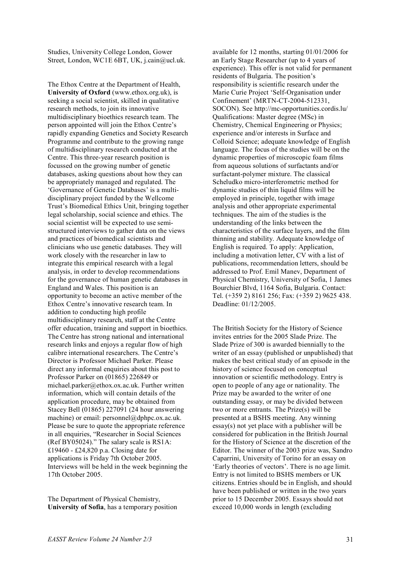Studies, University College London, Gower Street, London, WC1E 6BT, UK, j.cain@ucl.uk.

The Ethox Centre at the Department of Health, **University of Oxford** (www.ethox.org.uk), is seeking a social scientist, skilled in qualitative research methods, to join its innovative multidisciplinary bioethics research team. The person appointed will join the Ethox Centre's rapidly expanding Genetics and Society Research Programme and contribute to the growing range of multidisciplinary research conducted at the Centre. This three-year research position is focussed on the growing number of genetic databases, asking questions about how they can be appropriately managed and regulated. The 'Governance of Genetic Databases' is a multidisciplinary project funded by the Wellcome Trust's Biomedical Ethics Unit, bringing together legal scholarship, social science and ethics. The social scientist will be expected to use semistructured interviews to gather data on the views and practices of biomedical scientists and clinicians who use genetic databases. They will work closely with the researcher in law to integrate this empirical research with a legal analysis, in order to develop recommendations for the governance of human genetic databases in England and Wales. This position is an opportunity to become an active member of the Ethox Centre's innovative research team. In addition to conducting high profile multidisciplinary research, staff at the Centre offer education, training and support in bioethics. The Centre has strong national and international research links and enjoys a regular flow of high calibre international researchers. The Centre's Director is Professor Michael Parker. Please direct any informal enquiries about this post to Professor Parker on (01865) 226849 or michael.parker@ethox.ox.ac.uk. Further written information, which will contain details of the application procedure, may be obtained from Stacey Bell (01865) 227091 (24 hour answering machine) or email: personnel@dphpc.ox.ac.uk. Please be sure to quote the appropriate reference in all enquiries, "Researcher in Social Sciences (Ref BY05024)." The salary scale is RS1A: £19460 - £24,820 p.a. Closing date for applications is Friday 7th October 2005. Interviews will be held in the week beginning the 17th October 2005.

The Department of Physical Chemistry, **University of Sofia**, has a temporary position available for 12 months, starting 01/01/2006 for an Early Stage Researcher (up to 4 years of experience). This offer is not valid for permanent residents of Bulgaria. The position's responsibility is scientific research under the Marie Curie Project 'Self-Organisation under Confinement' (MRTN-CT-2004-512331, SOCON). See http://mc-opportunities.cordis.lu/ Qualifications: Master degree (MSc) in Chemistry, Chemical Engineering or Physics; experience and/or interests in Surface and Colloid Science; adequate knowledge of English language. The focus of the studies will be on the dynamic properties of microscopic foam films from aqueous solutions of surfactants and/or surfactant-polymer mixture. The classical Scheludko micro-interferometric method for dynamic studies of thin liquid films will be employed in principle, together with image analysis and other appropriate experimental techniques. The aim of the studies is the understanding of the links between the characteristics of the surface layers, and the film thinning and stability. Adequate knowledge of English is required. To apply: Application, including a motivation letter, CV with a list of publications, recommendation letters, should be addressed to Prof. Emil Manev, Department of Physical Chemistry, University of Sofia, 1 James Bourchier Blvd, 1164 Sofia, Bulgaria. Contact: Tel. (+359 2) 8161 256; Fax: (+359 2) 9625 438. Deadline: 01/12/2005.

The British Society for the History of Science invites entries for the 2005 Slade Prize. The Slade Prize of 300 is awarded biennially to the writer of an essay (published or unpublished) that makes the best critical study of an episode in the history of science focused on conceptual innovation or scientific methodology. Entry is open to people of any age or nationality. The Prize may be awarded to the writer of one outstanding essay, or may be divided between two or more entrants. The Prize(s) will be presented at a BSHS meeting. Any winning essay(s) not yet place with a publisher will be considered for publication in the British Journal for the History of Science at the discretion of the Editor. The winner of the 2003 prize was, Sandro Caparrini, University of Torino for an essay on 'Early theories of vectors'. There is no age limit. Entry is not limited to BSHS members or UK citizens. Entries should be in English, and should have been published or written in the two years prior to 15 December 2005. Essays should not exceed 10,000 words in length (excluding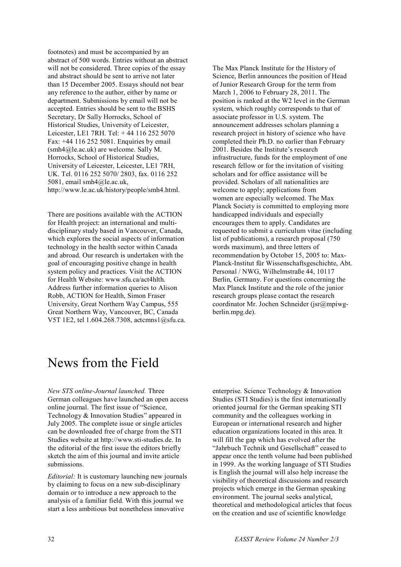footnotes) and must be accompanied by an abstract of 500 words. Entries without an abstract will not be considered. Three copies of the essay and abstract should be sent to arrive not later than 15 December 2005. Essays should not bear any reference to the author, either by name or department. Submissions by email will not be accepted. Entries should be sent to the BSHS Secretary, Dr Sally Horrocks, School of Historical Studies, University of Leicester, Leicester, LE1 7RH. Tel: + 44 116 252 5070 Fax: +44 116 252 5081. Enquiries by email (smh4@le.ac.uk) are welcome. Sally M. Horrocks, School of Historical Studies, University of Leicester, Leicester, LE1 7RH, UK. Tel. 0116 252 5070/ 2803, fax. 0116 252 5081, email smh4@le.ac.uk, http://www.le.ac.uk/history/people/smh4.html.

There are positions available with the ACTION for Health project: an international and multidisciplinary study based in Vancouver, Canada, which explores the social aspects of information technology in the health sector within Canada and abroad. Our research is undertaken with the goal of encouraging positive change in health system policy and practices. Visit the ACTION for Health Website: www.sfu.ca/act4hlth. Address further information queries to Alison Robb, ACTION for Health, Simon Fraser University, Great Northern Way Campus, 555 Great Northern Way, Vancouver, BC, Canada V5T 1E2, tel 1.604.268.7308, actcmns1@sfu.ca.

The Max Planck Institute for the History of Science, Berlin announces the position of Head of Junior Research Group for the term from March 1, 2006 to February 28, 2011. The position is ranked at the W2 level in the German system, which roughly corresponds to that of associate professor in U.S. system. The announcement addresses scholars planning a research project in history of science who have completed their Ph.D. no earlier than February 2001. Besides the Institute's research infrastructure, funds for the employment of one research fellow or for the invitation of visiting scholars and for office assistance will be provided. Scholars of all nationalities are welcome to apply; applications from women are especially welcomed. The Max Planck Society is committed to employing more handicapped individuals and especially encourages them to apply. Candidates are requested to submit a curriculum vitae (including list of publications), a research proposal (750 words maximum), and three letters of recommendation by October 15, 2005 to: Max-Planck-Institut für Wissenschaftsgeschichte, Abt. Personal / NWG, Wilhelmstraße 44, 10117 Berlin, Germany. For questions concerning the Max Planck Institute and the role of the junior research groups please contact the research coordinator Mr. Jochen Schneider (jsr@mpiwgberlin.mpg.de).

### News from the Field

*New STS online-Journal launched.* Three German colleagues have launched an open access online journal. The first issue of "Science, Technology & Innovation Studies" appeared in July 2005. The complete issue or single articles can be downloaded free of charge from the STI Studies website at http://www.sti-studies.de. In the editorial of the first issue the editors briefly sketch the aim of this journal and invite article submissions.

*Editorial:* It is customary launching new journals by claiming to focus on a new sub-disciplinary domain or to introduce a new approach to the analysis of a familiar field. With this journal we start a less ambitious but nonetheless innovative

enterprise. Science Technology & Innovation Studies (STI Studies) is the first internationally oriented journal for the German speaking STI community and the colleagues working in European or international research and higher education organizations located in this area. It will fill the gap which has evolved after the "Jahrbuch Technik und Gesellschaft" ceased to appear once the tenth volume had been published in 1999. As the working language of STI Studies is English the journal will also help increase the visibility of theoretical discussions and research projects which emerge in the German speaking environment. The journal seeks analytical, theoretical and methodological articles that focus on the creation and use of scientific knowledge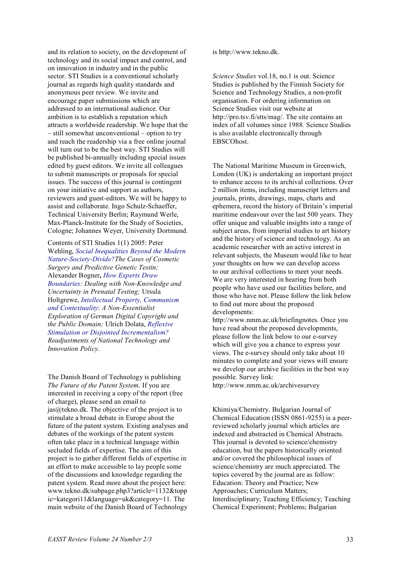and its relation to society, on the development of technology and its social impact and control, and on innovation in industry and in the public sector. STI Studies is a conventional scholarly journal as regards high quality standards and anonymous peer review. We invite and encourage paper submissions which are addressed to an international audience. Our ambition is to establish a reputation which attracts a worldwide readership. We hope that the – still somewhat unconventional – option to try and reach the readership via a free online journal will turn out to be the best way. STI Studies will be published bi-annually including special issues edited by guest editors. We invite all colleagues to submit manuscripts or proposals for special issues. The success of this journal is contingent on your initiative and support as authors, reviewers and guest-editors. We will be happy to assist and collaborate. Ingo Schulz-Schaeffer, Technical University Berlin; Raymund Werle, Max-Planck-Institute for the Study of Societies, Cologne; Johannes Weyer, University Dortmund.

Contents of STI Studies 1(1) 2005: Peter Wehling, *Social Inequalities Beyond the Modern Nature-Society-Divide?The Cases of Cosmetic Surgery and Predictive Genetic Testin;*  Alexander Bogner**,** *How Experts Draw Boundaries: Dealing with Non-Knowledge and Uncertainty in Prenatal Testing;* Ursula Holtgrewe, *Intellectual Property, Communism and Contextuality*: *A Non-Essentialist Exploration of German Digital Copyright and the Public Domain;* Ulrich Dolata, *Reflexive Stimulation or Disjointed Incrementalism? Readjustments of National Technology and Innovation Policy*.

The Danish Board of Technology is publishing *The Future of the Patent System*. If you are interested in receiving a copy of the report (free of charge), please send an email to  $jas@tekno.dk.$  The objective of the project is to stimulate a broad debate in Europe about the future of the patent system. Existing analyses and debates of the workings of the patent system often take place in a technical language within secluded fields of expertise. The aim of this project is to gather different fields of expertise in an effort to make accessible to lay people some of the discussions and knowledge regarding the patent system. Read more about the project here: www.tekno.dk/subpage.php3?article=1132&topp ic=kategori11&language=uk&category=11. The main website of the Danish Board of Technology

is http://www.tekno.dk.

*Science Studies* vol.18, no.1 is out. Science Studies is published by the Finnish Society for Science and Technology Studies, a non-profit organisation. For ordering information on Science Studies visit our website at http://pro.tsv.fi/stts/mag/. The site contains an index of all volumes since 1988. Science Studies is also available electronically through EBSCOhost.

The National Maritime Museum in Greenwich, London (UK) is undertaking an important project to enhance access to its archival collections. Over 2 million items, including manuscript letters and journals, prints, drawings, maps, charts and ephemera, record the history of Britain's imperial maritime endeavour over the last 500 years. They offer unique and valuable insights into a range of subject areas, from imperial studies to art history and the history of science and technology. As an academic researcher with an active interest in relevant subjects, the Museum would like to hear your thoughts on how we can develop access to our archival collections to meet your needs. We are very interested in hearing from both people who have used our facilities before, and those who have not. Please follow the link below to find out more about the proposed developments:

http://www.nmm.ac.uk/briefingnotes. Once you have read about the proposed developments, please follow the link below to our e-survey which will give you a chance to express your views. The e-survey should only take about 10 minutes to complete and your views will ensure we develop our archive facilities in the best way possible. Survey link:

http://www.nmm.ac.uk/archivesurvey

Khimiya/Chemistry. Bulgarian Journal of Chemical Education (ISSN 0861-9255) is a peerreviewed scholarly journal which articles are indexed and abstracted in Chemical Abstracts. This journal is devoted to science/chemistry education, but the papers historically oriented and/or covered the philosophical issues of science/chemistry are much appreciated. The topics covered by the journal are as follow: Education: Theory and Practice; New Approaches; Curriculum Matters; Interdisciplinary; Teaching Efficiency; Teaching Chemical Experiment; Problems; Bulgarian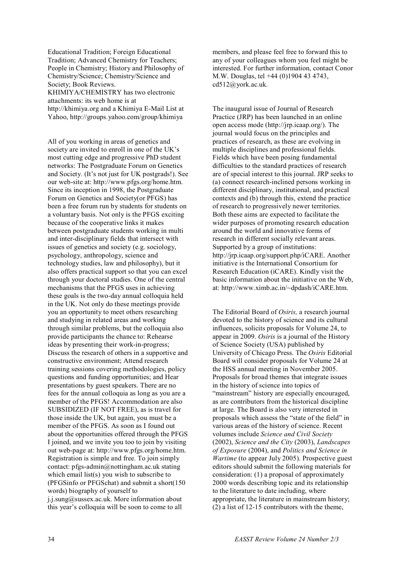Educational Tradition; Foreign Educational Tradition; Advanced Chemistry for Teachers; People in Chemistry; History and Philosophy of Chemistry/Science; Chemistry/Science and Society; Book Reviews. KHIMIYA/CHEMISTRY has two electronic attachments: its web home is at http://khimiya.org and a Khimiya E-Mail List at

Yahoo, http://groups.yahoo.com/group/khimiya

All of you working in areas of genetics and society are invited to enroll in one of the UK's most cutting edge and progressive PhD student networks: The Postgraduate Forum on Genetics and Society. (It's not just for UK postgrads!). See our web-site at: http://www.pfgs.org/home.htm. Since its inception in 1998, the Postgraduate Forum on Genetics and Society(or PFGS) has been a free forum run by students for students on a voluntary basis. Not only is the PFGS exciting because of the cooperative links it makes between postgraduate students working in multi and inter-disciplinary fields that intersect with issues of genetics and society (e.g. sociology, psychology, anthropology, science and technology studies, law and philosophy), but it also offers practical support so that you can excel through your doctoral studies. One of the central mechanisms that the PFGS uses in achieving these goals is the two-day annual colloquia held in the UK. Not only do these meetings provide you an opportunity to meet others researching and studying in related areas and working through similar problems, but the colloquia also provide participants the chance to: Rehearse ideas by presenting their work-in-progress; Discuss the research of others in a supportive and constructive environment; Attend research training sessions covering methodologies, policy questions and funding opportunities; and Hear presentations by guest speakers. There are no fees for the annual colloquia as long as you are a member of the PFGS! Accommodation are also SUBSIDIZED (IF NOT FREE), as is travel for those inside the UK, but again, you must be a member of the PFGS. As soon as I found out about the opportunities offered through the PFGS I joined, and we invite you too to join by visiting out web-page at: http://www.pfgs.org/home.htm. Registration is simple and free. To join simply contact: pfgs-admin@nottingham.ac.uk stating which email list(s) you wish to subscribe to (PFGSinfo or PFGSchat) and submit a short(150 words) biography of yourself to j.j.sung@sussex.ac.uk. More information about this year's colloquia will be soon to come to all

members, and please feel free to forward this to any of your colleagues whom you feel might be interested. For further information, contact Conor M.W. Douglas, tel +44 (0)1904 43 4743, cd512@york.ac.uk.

The inaugural issue of Journal of Research Practice (JRP) has been launched in an online open access mode (http://jrp.icaap.org/). The journal would focus on the principles and practices of research, as these are evolving in multiple disciplines and professional fields. Fields which have been posing fundamental difficulties to the standard practices of research are of special interest to this journal. JRP seeks to (a) connect research-inclined persons working in different disciplinary, institutional, and practical contexts and (b) through this, extend the practice of research to progressively newer territories. Both these aims are expected to facilitate the wider purposes of promoting research education around the world and innovative forms of research in different socially relevant areas. Supported by a group of institutions: http://jrp.icaap.org/support.php/iCARE. Another initiative is the International Consortium for Research Education (iCARE). Kindly visit the basic information about the initiative on the Web, at: http://www.ximb.ac.in/~dpdash/iCARE.htm.

The Editorial Board of *Osiris,* a research journal devoted to the history of science and its cultural influences, solicits proposals for Volume 24, to appear in 2009. *Osiris* is a journal of the History of Science Society (USA) published by University of Chicago Press. The *Osiris* Editorial Board will consider proposals for Volume 24 at the HSS annual meeting in November 2005. Proposals for broad themes that integrate issues in the history of science into topics of "mainstream" history are especially encouraged, as are contributors from the historical discipline at large. The Board is also very interested in proposals which assess the "state of the field" in various areas of the history of science. Recent volumes include *Science and Civil Society*  (2002), *Science and the City* (2003), *Landscapes of Exposure* (2004), and *Politics and Science in Wartime* (to appear July 2005). Prospective guest editors should submit the following materials for consideration: (1) a proposal of approximately 2000 words describing topic and its relationship to the literature to date including, where appropriate, the literature in mainstream history; (2) a list of 12-15 contributors with the theme,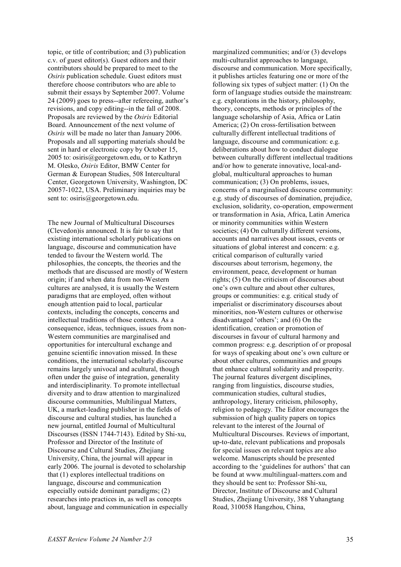topic, or title of contribution; and (3) publication c.v. of guest editor(s). Guest editors and their contributors should be prepared to meet to the *Osiris* publication schedule. Guest editors must therefore choose contributors who are able to submit their essays by September 2007. Volume 24 (2009) goes to press--after refereeing, author's revisions, and copy editing--in the fall of 2008. Proposals are reviewed by the *Osiris* Editorial Board. Announcement of the next volume of *Osiris* will be made no later than January 2006. Proposals and all supporting materials should be sent in hard or electronic copy by October 15, 2005 to: osiris@georgetown.edu, or to Kathryn M. Olesko, *Osiris* Editor, BMW Center for German & European Studies, 508 Intercultural Center, Georgetown University, Washington, DC 20057-1022, USA. Preliminary inquiries may be sent to: osiris@georgetown.edu.

The new Journal of Multicultural Discourses (Clevedon)is announced. It is fair to say that existing international scholarly publications on language, discourse and communication have tended to favour the Western world. The philosophies, the concepts, the theories and the methods that are discussed are mostly of Western origin; if and when data from non-Western cultures are analysed, it is usually the Western paradigms that are employed, often without enough attention paid to local, particular contexts, including the concepts, concerns and intellectual traditions of those contexts. As a consequence, ideas, techniques, issues from non-Western communities are marginalised and opportunities for intercultural exchange and genuine scientific innovation missed. In these conditions, the international scholarly discourse remains largely univocal and acultural, though often under the guise of integration, generality and interdisciplinarity. To promote intellectual diversity and to draw attention to marginalized discourse communities, Multilingual Matters, UK, a market-leading publisher in the fields of discourse and cultural studies, has launched a new journal, entitled Journal of Multicultural Discourses (ISSN 1744-7143). Edited by Shi-xu, Professor and Director of the Institute of Discourse and Cultural Studies, Zhejiang University, China, the journal will appear in early 2006. The journal is devoted to scholarship that (1) explores intellectual traditions on language, discourse and communication especially outside dominant paradigms; (2) researches into practices in, as well as concepts about, language and communication in especially

marginalized communities; and/or (3) develops multi-culturalist approaches to language, discourse and communication. More specifically, it publishes articles featuring one or more of the following six types of subject matter: (1) On the form of language studies outside the mainstream: e.g. explorations in the history, philosophy, theory, concepts, methods or principles of the language scholarship of Asia, Africa or Latin America; (2) On cross-fertilisation between culturally different intellectual traditions of language, discourse and communication: e.g. deliberations about how to conduct dialogue between culturally different intellectual traditions and/or how to generate innovative, local-andglobal, multicultural approaches to human communication; (3) On problems, issues, concerns of a marginalised discourse community: e.g. study of discourses of domination, prejudice, exclusion, solidarity, co-operation, empowerment or transformation in Asia, Africa, Latin America or minority communities within Western societies; (4) On culturally different versions, accounts and narratives about issues, events or situations of global interest and concern: e.g. critical comparison of culturally varied discourses about terrorism, hegemony, the environment, peace, development or human rights; (5) On the criticism of discourses about one's own culture and about other cultures, groups or communities: e.g. critical study of imperialist or discriminatory discourses about minorities, non-Western cultures or otherwise disadvantaged 'others'; and (6) On the identification, creation or promotion of discourses in favour of cultural harmony and common progress: e.g. description of or proposal for ways of speaking about one's own culture or about other cultures, communities and groups that enhance cultural solidarity and prosperity. The journal features divergent disciplines, ranging from linguistics, discourse studies, communication studies, cultural studies, anthropology, literary criticism, philosophy, religion to pedagogy. The Editor encourages the submission of high quality papers on topics relevant to the interest of the Journal of Multicultural Discourses. Reviews of important, up-to-date, relevant publications and proposals for special issues on relevant topics are also welcome. Manuscripts should be presented according to the 'guidelines for authors' that can be found at www.multilingual-matters.com and they should be sent to: Professor Shi-xu, Director, Institute of Discourse and Cultural Studies, Zhejiang University, 388 Yuhangtang Road, 310058 Hangzhou, China,